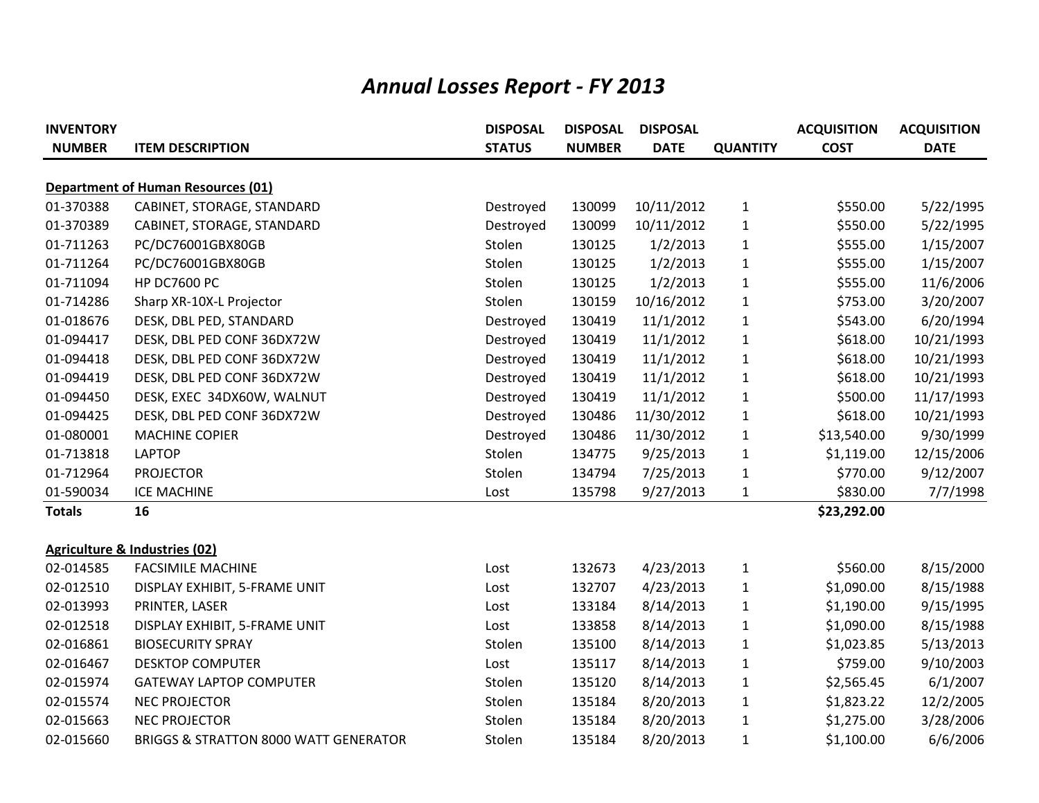## *Annual Losses Report - FY 2013*

| <b>INVENTORY</b> |                                           | <b>DISPOSAL</b> | <b>DISPOSAL</b> | <b>DISPOSAL</b> |                 | <b>ACQUISITION</b> | <b>ACQUISITION</b> |
|------------------|-------------------------------------------|-----------------|-----------------|-----------------|-----------------|--------------------|--------------------|
| <b>NUMBER</b>    | <b>ITEM DESCRIPTION</b>                   | <b>STATUS</b>   | <b>NUMBER</b>   | <b>DATE</b>     | <b>QUANTITY</b> | <b>COST</b>        | <b>DATE</b>        |
|                  |                                           |                 |                 |                 |                 |                    |                    |
|                  | <b>Department of Human Resources (01)</b> |                 |                 |                 |                 |                    |                    |
| 01-370388        | CABINET, STORAGE, STANDARD                | Destroyed       | 130099          | 10/11/2012      | $\mathbf{1}$    | \$550.00           | 5/22/1995          |
| 01-370389        | CABINET, STORAGE, STANDARD                | Destroyed       | 130099          | 10/11/2012      | 1               | \$550.00           | 5/22/1995          |
| 01-711263        | PC/DC76001GBX80GB                         | Stolen          | 130125          | 1/2/2013        | 1               | \$555.00           | 1/15/2007          |
| 01-711264        | PC/DC76001GBX80GB                         | Stolen          | 130125          | 1/2/2013        | $\mathbf{1}$    | \$555.00           | 1/15/2007          |
| 01-711094        | <b>HP DC7600 PC</b>                       | Stolen          | 130125          | 1/2/2013        | 1               | \$555.00           | 11/6/2006          |
| 01-714286        | Sharp XR-10X-L Projector                  | Stolen          | 130159          | 10/16/2012      | $\mathbf{1}$    | \$753.00           | 3/20/2007          |
| 01-018676        | DESK, DBL PED, STANDARD                   | Destroyed       | 130419          | 11/1/2012       | 1               | \$543.00           | 6/20/1994          |
| 01-094417        | DESK, DBL PED CONF 36DX72W                | Destroyed       | 130419          | 11/1/2012       | $\mathbf{1}$    | \$618.00           | 10/21/1993         |
| 01-094418        | DESK, DBL PED CONF 36DX72W                | Destroyed       | 130419          | 11/1/2012       | 1               | \$618.00           | 10/21/1993         |
| 01-094419        | DESK, DBL PED CONF 36DX72W                | Destroyed       | 130419          | 11/1/2012       | 1               | \$618.00           | 10/21/1993         |
| 01-094450        | DESK, EXEC 34DX60W, WALNUT                | Destroyed       | 130419          | 11/1/2012       | $\mathbf{1}$    | \$500.00           | 11/17/1993         |
| 01-094425        | DESK, DBL PED CONF 36DX72W                | Destroyed       | 130486          | 11/30/2012      | 1               | \$618.00           | 10/21/1993         |
| 01-080001        | <b>MACHINE COPIER</b>                     | Destroyed       | 130486          | 11/30/2012      | 1               | \$13,540.00        | 9/30/1999          |
| 01-713818        | <b>LAPTOP</b>                             | Stolen          | 134775          | 9/25/2013       | 1               | \$1,119.00         | 12/15/2006         |
| 01-712964        | <b>PROJECTOR</b>                          | Stolen          | 134794          | 7/25/2013       | 1               | \$770.00           | 9/12/2007          |
| 01-590034        | <b>ICE MACHINE</b>                        | Lost            | 135798          | 9/27/2013       | $\mathbf{1}$    | \$830.00           | 7/7/1998           |
| <b>Totals</b>    | 16                                        |                 |                 |                 |                 | \$23,292.00        |                    |
|                  |                                           |                 |                 |                 |                 |                    |                    |
|                  | Agriculture & Industries (02)             |                 |                 |                 |                 |                    |                    |
| 02-014585        | <b>FACSIMILE MACHINE</b>                  | Lost            | 132673          | 4/23/2013       | $\mathbf{1}$    | \$560.00           | 8/15/2000          |
| 02-012510        | DISPLAY EXHIBIT, 5-FRAME UNIT             | Lost            | 132707          | 4/23/2013       | $\mathbf{1}$    | \$1,090.00         | 8/15/1988          |
| 02-013993        | PRINTER, LASER                            | Lost            | 133184          | 8/14/2013       | 1               | \$1,190.00         | 9/15/1995          |
| 02-012518        | DISPLAY EXHIBIT, 5-FRAME UNIT             | Lost            | 133858          | 8/14/2013       | $\mathbf 1$     | \$1,090.00         | 8/15/1988          |
| 02-016861        | <b>BIOSECURITY SPRAY</b>                  | Stolen          | 135100          | 8/14/2013       | 1               | \$1,023.85         | 5/13/2013          |
| 02-016467        | <b>DESKTOP COMPUTER</b>                   | Lost            | 135117          | 8/14/2013       | $\mathbf 1$     | \$759.00           | 9/10/2003          |
| 02-015974        | <b>GATEWAY LAPTOP COMPUTER</b>            | Stolen          | 135120          | 8/14/2013       | 1               | \$2,565.45         | 6/1/2007           |
| 02-015574        | <b>NEC PROJECTOR</b>                      | Stolen          | 135184          | 8/20/2013       | 1               | \$1,823.22         | 12/2/2005          |
| 02-015663        | <b>NEC PROJECTOR</b>                      | Stolen          | 135184          | 8/20/2013       | 1               | \$1,275.00         | 3/28/2006          |
| 02-015660        | BRIGGS & STRATTON 8000 WATT GENERATOR     | Stolen          | 135184          | 8/20/2013       | $\mathbf{1}$    | \$1,100.00         | 6/6/2006           |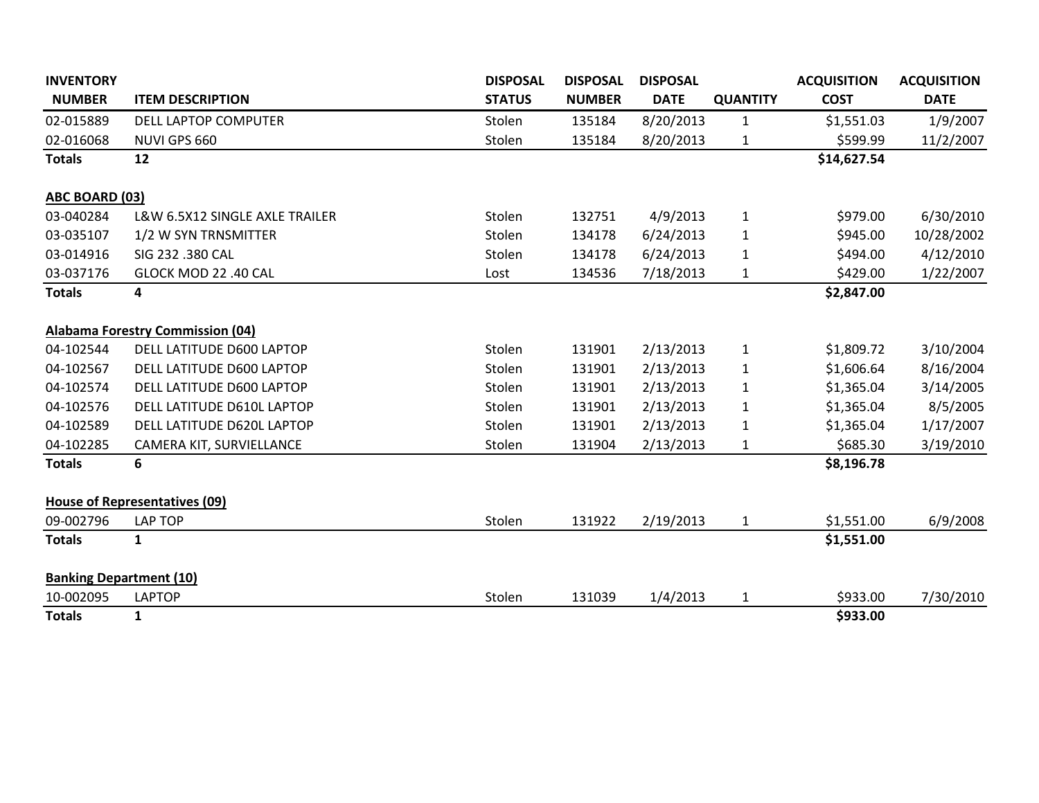| <b>INVENTORY</b>      |                                         | <b>DISPOSAL</b> | <b>DISPOSAL</b> | <b>DISPOSAL</b> |                 | <b>ACQUISITION</b> | <b>ACQUISITION</b> |
|-----------------------|-----------------------------------------|-----------------|-----------------|-----------------|-----------------|--------------------|--------------------|
| <b>NUMBER</b>         | <b>ITEM DESCRIPTION</b>                 | <b>STATUS</b>   | <b>NUMBER</b>   | <b>DATE</b>     | <b>QUANTITY</b> | <b>COST</b>        | <b>DATE</b>        |
| 02-015889             | <b>DELL LAPTOP COMPUTER</b>             | Stolen          | 135184          | 8/20/2013       | $\mathbf{1}$    | \$1,551.03         | 1/9/2007           |
| 02-016068             | NUVI GPS 660                            | Stolen          | 135184          | 8/20/2013       | $\mathbf{1}$    | \$599.99           | 11/2/2007          |
| <b>Totals</b>         | 12                                      |                 |                 |                 |                 | \$14,627.54        |                    |
| <b>ABC BOARD (03)</b> |                                         |                 |                 |                 |                 |                    |                    |
| 03-040284             | L&W 6.5X12 SINGLE AXLE TRAILER          | Stolen          | 132751          | 4/9/2013        | $\mathbf{1}$    | \$979.00           | 6/30/2010          |
| 03-035107             | 1/2 W SYN TRNSMITTER                    | Stolen          | 134178          | 6/24/2013       | $\mathbf{1}$    | \$945.00           | 10/28/2002         |
| 03-014916             | SIG 232 .380 CAL                        | Stolen          | 134178          | 6/24/2013       | 1               | \$494.00           | 4/12/2010          |
| 03-037176             | GLOCK MOD 22 .40 CAL                    | Lost            | 134536          | 7/18/2013       | $\mathbf{1}$    | \$429.00           | 1/22/2007          |
| <b>Totals</b>         | 4                                       |                 |                 |                 |                 | \$2,847.00         |                    |
|                       | <b>Alabama Forestry Commission (04)</b> |                 |                 |                 |                 |                    |                    |
| 04-102544             | DELL LATITUDE D600 LAPTOP               | Stolen          | 131901          | 2/13/2013       | $\mathbf{1}$    | \$1,809.72         | 3/10/2004          |
| 04-102567             | DELL LATITUDE D600 LAPTOP               | Stolen          | 131901          | 2/13/2013       | $\mathbf{1}$    | \$1,606.64         | 8/16/2004          |
| 04-102574             | DELL LATITUDE D600 LAPTOP               | Stolen          | 131901          | 2/13/2013       | $\mathbf{1}$    | \$1,365.04         | 3/14/2005          |
| 04-102576             | DELL LATITUDE D610L LAPTOP              | Stolen          | 131901          | 2/13/2013       | 1               | \$1,365.04         | 8/5/2005           |
| 04-102589             | DELL LATITUDE D620L LAPTOP              | Stolen          | 131901          | 2/13/2013       | $\mathbf{1}$    | \$1,365.04         | 1/17/2007          |
| 04-102285             | CAMERA KIT, SURVIELLANCE                | Stolen          | 131904          | 2/13/2013       | $\mathbf{1}$    | \$685.30           | 3/19/2010          |
| <b>Totals</b>         | $6\phantom{1}$                          |                 |                 |                 |                 | \$8,196.78         |                    |
|                       | <b>House of Representatives (09)</b>    |                 |                 |                 |                 |                    |                    |
| 09-002796             | <b>LAP TOP</b>                          | Stolen          | 131922          | 2/19/2013       | $\mathbf 1$     | \$1,551.00         | 6/9/2008           |
| <b>Totals</b>         | 1                                       |                 |                 |                 |                 | \$1,551.00         |                    |
|                       | <b>Banking Department (10)</b>          |                 |                 |                 |                 |                    |                    |
| 10-002095             | <b>LAPTOP</b>                           | Stolen          | 131039          | 1/4/2013        | $\mathbf{1}$    | \$933.00           | 7/30/2010          |
| <b>Totals</b>         | $\mathbf{1}$                            |                 |                 |                 |                 | \$933.00           |                    |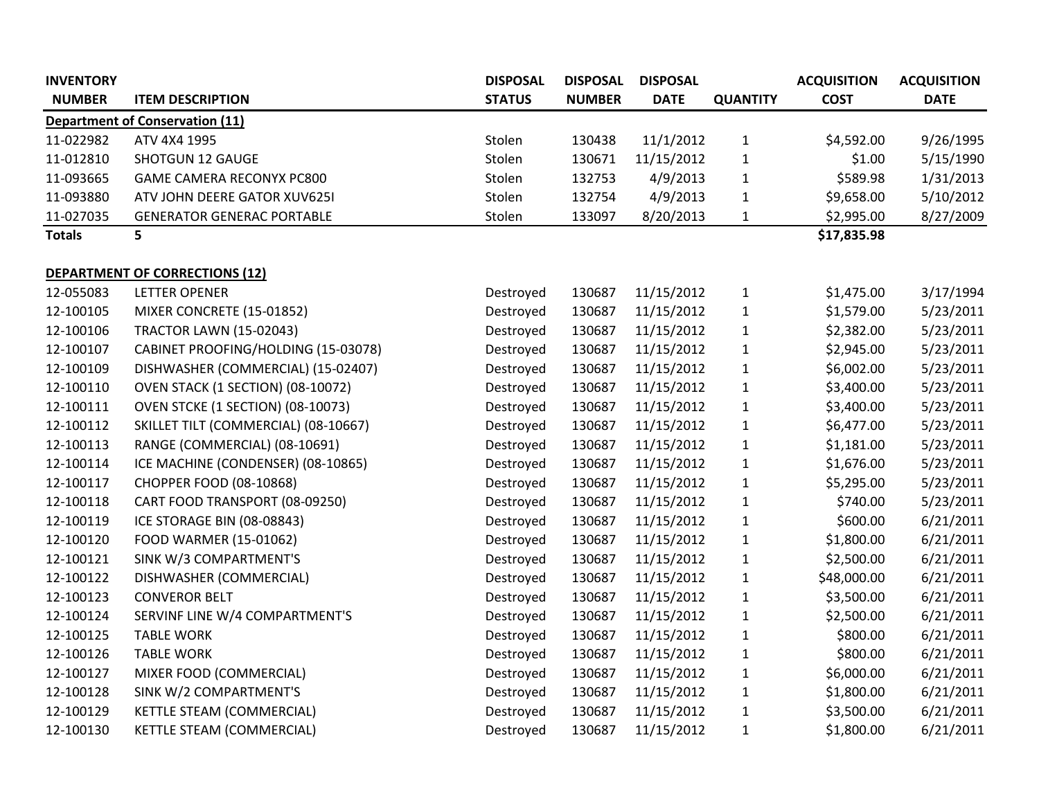| <b>INVENTORY</b> |                                        | <b>DISPOSAL</b> | <b>DISPOSAL</b> | <b>DISPOSAL</b> |                 | <b>ACQUISITION</b> | <b>ACQUISITION</b> |
|------------------|----------------------------------------|-----------------|-----------------|-----------------|-----------------|--------------------|--------------------|
| <b>NUMBER</b>    | <b>ITEM DESCRIPTION</b>                | <b>STATUS</b>   | <b>NUMBER</b>   | <b>DATE</b>     | <b>QUANTITY</b> | <b>COST</b>        | <b>DATE</b>        |
|                  | <b>Department of Conservation (11)</b> |                 |                 |                 |                 |                    |                    |
| 11-022982        | ATV 4X4 1995                           | Stolen          | 130438          | 11/1/2012       | $\mathbf{1}$    | \$4,592.00         | 9/26/1995          |
| 11-012810        | <b>SHOTGUN 12 GAUGE</b>                | Stolen          | 130671          | 11/15/2012      | $\mathbf 1$     | \$1.00             | 5/15/1990          |
| 11-093665        | GAME CAMERA RECONYX PC800              | Stolen          | 132753          | 4/9/2013        | $\mathbf 1$     | \$589.98           | 1/31/2013          |
| 11-093880        | ATV JOHN DEERE GATOR XUV625I           | Stolen          | 132754          | 4/9/2013        | $\mathbf 1$     | \$9,658.00         | 5/10/2012          |
| 11-027035        | <b>GENERATOR GENERAC PORTABLE</b>      | Stolen          | 133097          | 8/20/2013       | $\mathbf 1$     | \$2,995.00         | 8/27/2009          |
| <b>Totals</b>    | 5                                      |                 |                 |                 |                 | \$17,835.98        |                    |
|                  | <b>DEPARTMENT OF CORRECTIONS (12)</b>  |                 |                 |                 |                 |                    |                    |
| 12-055083        | <b>LETTER OPENER</b>                   | Destroyed       | 130687          | 11/15/2012      | $\mathbf 1$     | \$1,475.00         | 3/17/1994          |
| 12-100105        | MIXER CONCRETE (15-01852)              | Destroyed       | 130687          | 11/15/2012      | $\mathbf{1}$    | \$1,579.00         | 5/23/2011          |
| 12-100106        | <b>TRACTOR LAWN (15-02043)</b>         | Destroyed       | 130687          | 11/15/2012      | $\mathbf{1}$    | \$2,382.00         | 5/23/2011          |
| 12-100107        | CABINET PROOFING/HOLDING (15-03078)    | Destroyed       | 130687          | 11/15/2012      | $\mathbf 1$     | \$2,945.00         | 5/23/2011          |
| 12-100109        | DISHWASHER (COMMERCIAL) (15-02407)     | Destroyed       | 130687          | 11/15/2012      | $\mathbf 1$     | \$6,002.00         | 5/23/2011          |
| 12-100110        | OVEN STACK (1 SECTION) (08-10072)      | Destroyed       | 130687          | 11/15/2012      | $\mathbf{1}$    | \$3,400.00         | 5/23/2011          |
| 12-100111        | OVEN STCKE (1 SECTION) (08-10073)      | Destroyed       | 130687          | 11/15/2012      | $\mathbf 1$     | \$3,400.00         | 5/23/2011          |
| 12-100112        | SKILLET TILT (COMMERCIAL) (08-10667)   | Destroyed       | 130687          | 11/15/2012      | $\mathbf 1$     | \$6,477.00         | 5/23/2011          |
| 12-100113        | RANGE (COMMERCIAL) (08-10691)          | Destroyed       | 130687          | 11/15/2012      | $\mathbf 1$     | \$1,181.00         | 5/23/2011          |
| 12-100114        | ICE MACHINE (CONDENSER) (08-10865)     | Destroyed       | 130687          | 11/15/2012      | $\mathbf 1$     | \$1,676.00         | 5/23/2011          |
| 12-100117        | CHOPPER FOOD (08-10868)                | Destroyed       | 130687          | 11/15/2012      | $\mathbf 1$     | \$5,295.00         | 5/23/2011          |
| 12-100118        | CART FOOD TRANSPORT (08-09250)         | Destroyed       | 130687          | 11/15/2012      | $\mathbf 1$     | \$740.00           | 5/23/2011          |
| 12-100119        | ICE STORAGE BIN (08-08843)             | Destroyed       | 130687          | 11/15/2012      | $\mathbf{1}$    | \$600.00           | 6/21/2011          |
| 12-100120        | FOOD WARMER (15-01062)                 | Destroyed       | 130687          | 11/15/2012      | $\mathbf 1$     | \$1,800.00         | 6/21/2011          |
| 12-100121        | SINK W/3 COMPARTMENT'S                 | Destroyed       | 130687          | 11/15/2012      | $\mathbf 1$     | \$2,500.00         | 6/21/2011          |
| 12-100122        | DISHWASHER (COMMERCIAL)                | Destroyed       | 130687          | 11/15/2012      | $\mathbf{1}$    | \$48,000.00        | 6/21/2011          |
| 12-100123        | <b>CONVEROR BELT</b>                   | Destroyed       | 130687          | 11/15/2012      | $\mathbf{1}$    | \$3,500.00         | 6/21/2011          |
| 12-100124        | SERVINF LINE W/4 COMPARTMENT'S         | Destroyed       | 130687          | 11/15/2012      | $\mathbf 1$     | \$2,500.00         | 6/21/2011          |
| 12-100125        | <b>TABLE WORK</b>                      | Destroyed       | 130687          | 11/15/2012      | $\mathbf 1$     | \$800.00           | 6/21/2011          |
| 12-100126        | <b>TABLE WORK</b>                      | Destroyed       | 130687          | 11/15/2012      | $\mathbf 1$     | \$800.00           | 6/21/2011          |
| 12-100127        | MIXER FOOD (COMMERCIAL)                | Destroyed       | 130687          | 11/15/2012      | $\mathbf{1}$    | \$6,000.00         | 6/21/2011          |
| 12-100128        | SINK W/2 COMPARTMENT'S                 | Destroyed       | 130687          | 11/15/2012      | $\mathbf 1$     | \$1,800.00         | 6/21/2011          |
| 12-100129        | KETTLE STEAM (COMMERCIAL)              | Destroyed       | 130687          | 11/15/2012      | $\mathbf 1$     | \$3,500.00         | 6/21/2011          |
| 12-100130        | KETTLE STEAM (COMMERCIAL)              | Destroyed       | 130687          | 11/15/2012      | $\mathbf{1}$    | \$1,800.00         | 6/21/2011          |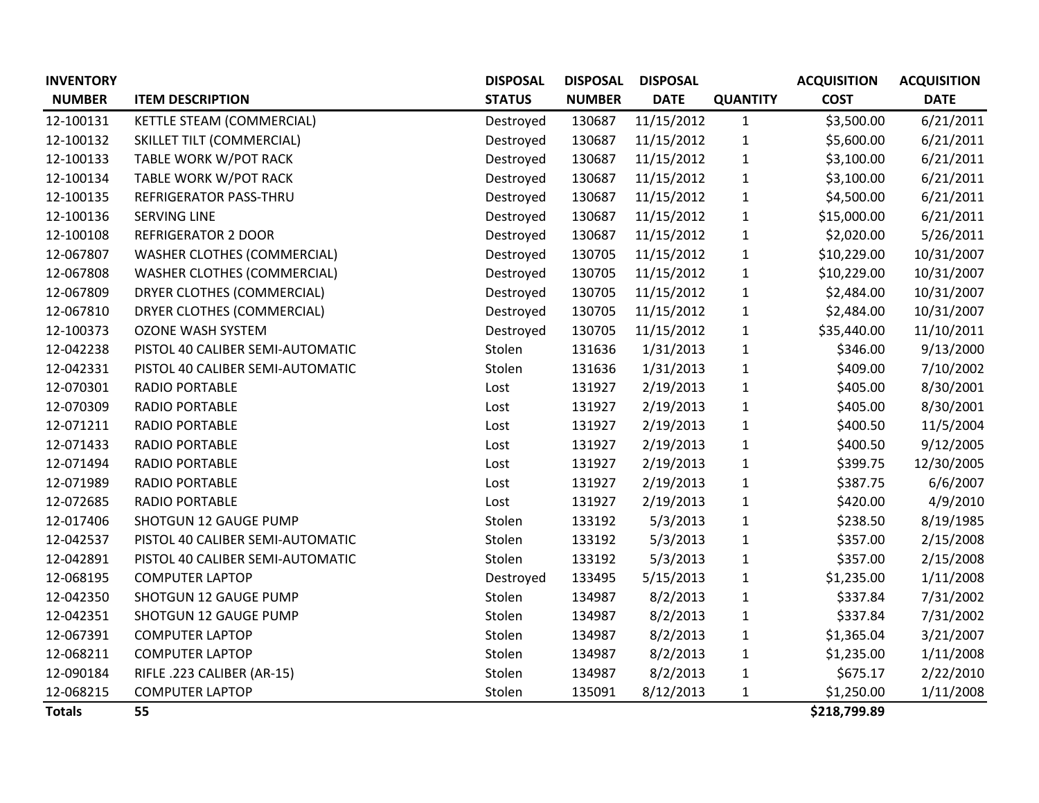| <b>INVENTORY</b> |                                    | <b>DISPOSAL</b> | <b>DISPOSAL</b> | <b>DISPOSAL</b> |                 | <b>ACQUISITION</b> | <b>ACQUISITION</b> |
|------------------|------------------------------------|-----------------|-----------------|-----------------|-----------------|--------------------|--------------------|
| <b>NUMBER</b>    | <b>ITEM DESCRIPTION</b>            | <b>STATUS</b>   | <b>NUMBER</b>   | <b>DATE</b>     | <b>QUANTITY</b> | <b>COST</b>        | <b>DATE</b>        |
| 12-100131        | KETTLE STEAM (COMMERCIAL)          | Destroyed       | 130687          | 11/15/2012      | $\mathbf{1}$    | \$3,500.00         | 6/21/2011          |
| 12-100132        | SKILLET TILT (COMMERCIAL)          | Destroyed       | 130687          | 11/15/2012      | $\mathbf{1}$    | \$5,600.00         | 6/21/2011          |
| 12-100133        | TABLE WORK W/POT RACK              | Destroyed       | 130687          | 11/15/2012      | $\mathbf{1}$    | \$3,100.00         | 6/21/2011          |
| 12-100134        | TABLE WORK W/POT RACK              | Destroyed       | 130687          | 11/15/2012      | $\mathbf{1}$    | \$3,100.00         | 6/21/2011          |
| 12-100135        | REFRIGERATOR PASS-THRU             | Destroyed       | 130687          | 11/15/2012      | $\mathbf{1}$    | \$4,500.00         | 6/21/2011          |
| 12-100136        | <b>SERVING LINE</b>                | Destroyed       | 130687          | 11/15/2012      | $\mathbf{1}$    | \$15,000.00        | 6/21/2011          |
| 12-100108        | <b>REFRIGERATOR 2 DOOR</b>         | Destroyed       | 130687          | 11/15/2012      | $\mathbf{1}$    | \$2,020.00         | 5/26/2011          |
| 12-067807        | <b>WASHER CLOTHES (COMMERCIAL)</b> | Destroyed       | 130705          | 11/15/2012      | $\mathbf{1}$    | \$10,229.00        | 10/31/2007         |
| 12-067808        | <b>WASHER CLOTHES (COMMERCIAL)</b> | Destroyed       | 130705          | 11/15/2012      | $\mathbf{1}$    | \$10,229.00        | 10/31/2007         |
| 12-067809        | DRYER CLOTHES (COMMERCIAL)         | Destroyed       | 130705          | 11/15/2012      | $\mathbf 1$     | \$2,484.00         | 10/31/2007         |
| 12-067810        | DRYER CLOTHES (COMMERCIAL)         | Destroyed       | 130705          | 11/15/2012      | $\mathbf{1}$    | \$2,484.00         | 10/31/2007         |
| 12-100373        | <b>OZONE WASH SYSTEM</b>           | Destroyed       | 130705          | 11/15/2012      | $\mathbf{1}$    | \$35,440.00        | 11/10/2011         |
| 12-042238        | PISTOL 40 CALIBER SEMI-AUTOMATIC   | Stolen          | 131636          | 1/31/2013       | $\mathbf{1}$    | \$346.00           | 9/13/2000          |
| 12-042331        | PISTOL 40 CALIBER SEMI-AUTOMATIC   | Stolen          | 131636          | 1/31/2013       | $\mathbf{1}$    | \$409.00           | 7/10/2002          |
| 12-070301        | <b>RADIO PORTABLE</b>              | Lost            | 131927          | 2/19/2013       | $\mathbf{1}$    | \$405.00           | 8/30/2001          |
| 12-070309        | <b>RADIO PORTABLE</b>              | Lost            | 131927          | 2/19/2013       | 1               | \$405.00           | 8/30/2001          |
| 12-071211        | <b>RADIO PORTABLE</b>              | Lost            | 131927          | 2/19/2013       | $\mathbf{1}$    | \$400.50           | 11/5/2004          |
| 12-071433        | <b>RADIO PORTABLE</b>              | Lost            | 131927          | 2/19/2013       | $\mathbf{1}$    | \$400.50           | 9/12/2005          |
| 12-071494        | <b>RADIO PORTABLE</b>              | Lost            | 131927          | 2/19/2013       | $\mathbf{1}$    | \$399.75           | 12/30/2005         |
| 12-071989        | <b>RADIO PORTABLE</b>              | Lost            | 131927          | 2/19/2013       | $\mathbf{1}$    | \$387.75           | 6/6/2007           |
| 12-072685        | <b>RADIO PORTABLE</b>              | Lost            | 131927          | 2/19/2013       | $\mathbf{1}$    | \$420.00           | 4/9/2010           |
| 12-017406        | SHOTGUN 12 GAUGE PUMP              | Stolen          | 133192          | 5/3/2013        | $\mathbf{1}$    | \$238.50           | 8/19/1985          |
| 12-042537        | PISTOL 40 CALIBER SEMI-AUTOMATIC   | Stolen          | 133192          | 5/3/2013        | $\mathbf{1}$    | \$357.00           | 2/15/2008          |
| 12-042891        | PISTOL 40 CALIBER SEMI-AUTOMATIC   | Stolen          | 133192          | 5/3/2013        | $\mathbf{1}$    | \$357.00           | 2/15/2008          |
| 12-068195        | <b>COMPUTER LAPTOP</b>             | Destroyed       | 133495          | 5/15/2013       | $\mathbf{1}$    | \$1,235.00         | 1/11/2008          |
| 12-042350        | <b>SHOTGUN 12 GAUGE PUMP</b>       | Stolen          | 134987          | 8/2/2013        | $\mathbf{1}$    | \$337.84           | 7/31/2002          |
| 12-042351        | <b>SHOTGUN 12 GAUGE PUMP</b>       | Stolen          | 134987          | 8/2/2013        | $\mathbf{1}$    | \$337.84           | 7/31/2002          |
| 12-067391        | <b>COMPUTER LAPTOP</b>             | Stolen          | 134987          | 8/2/2013        | $\mathbf{1}$    | \$1,365.04         | 3/21/2007          |
| 12-068211        | <b>COMPUTER LAPTOP</b>             | Stolen          | 134987          | 8/2/2013        | $\mathbf{1}$    | \$1,235.00         | 1/11/2008          |
| 12-090184        | RIFLE .223 CALIBER (AR-15)         | Stolen          | 134987          | 8/2/2013        | 1               | \$675.17           | 2/22/2010          |
| 12-068215        | <b>COMPUTER LAPTOP</b>             | Stolen          | 135091          | 8/12/2013       | 1               | \$1,250.00         | 1/11/2008          |
| <b>Totals</b>    | 55                                 |                 |                 |                 |                 | \$218,799.89       |                    |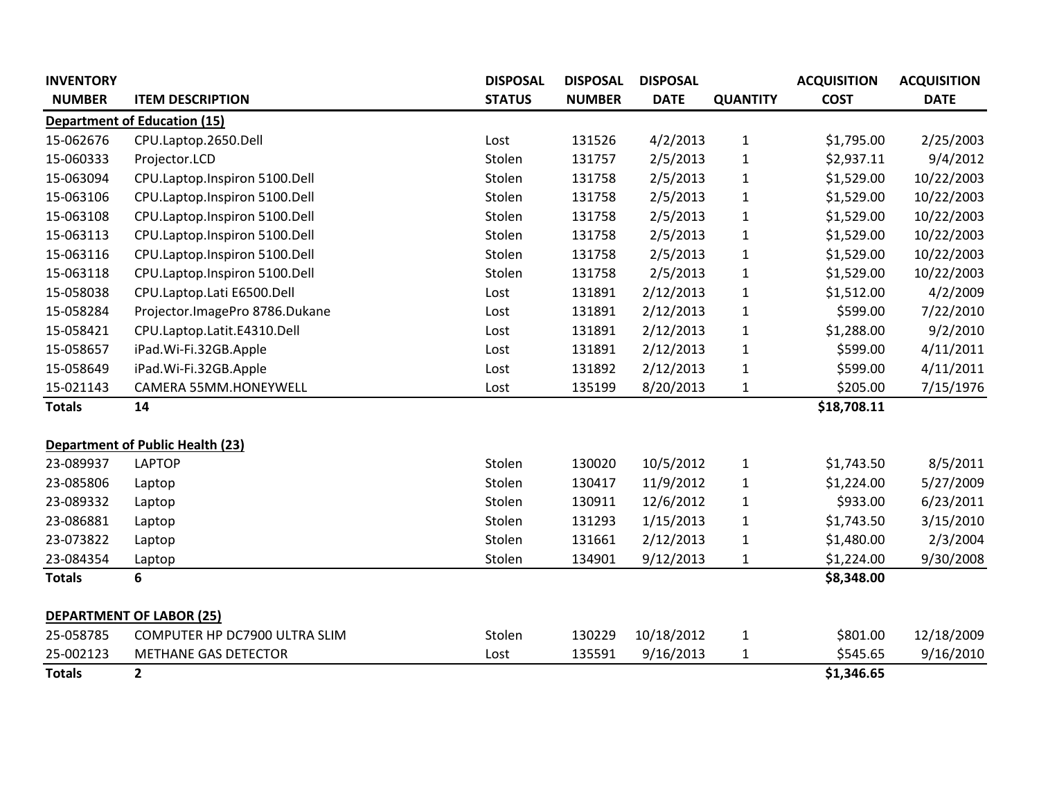| <b>INVENTORY</b> |                                         | <b>DISPOSAL</b> | <b>DISPOSAL</b> | <b>DISPOSAL</b> |                 | <b>ACQUISITION</b> | <b>ACQUISITION</b> |
|------------------|-----------------------------------------|-----------------|-----------------|-----------------|-----------------|--------------------|--------------------|
| <b>NUMBER</b>    | <b>ITEM DESCRIPTION</b>                 | <b>STATUS</b>   | <b>NUMBER</b>   | <b>DATE</b>     | <b>QUANTITY</b> | <b>COST</b>        | <b>DATE</b>        |
|                  | <b>Department of Education (15)</b>     |                 |                 |                 |                 |                    |                    |
| 15-062676        | CPU.Laptop.2650.Dell                    | Lost            | 131526          | 4/2/2013        | $\mathbf{1}$    | \$1,795.00         | 2/25/2003          |
| 15-060333        | Projector.LCD                           | Stolen          | 131757          | 2/5/2013        | $\mathbf{1}$    | \$2,937.11         | 9/4/2012           |
| 15-063094        | CPU.Laptop.Inspiron 5100.Dell           | Stolen          | 131758          | 2/5/2013        | $\mathbf{1}$    | \$1,529.00         | 10/22/2003         |
| 15-063106        | CPU.Laptop.Inspiron 5100.Dell           | Stolen          | 131758          | 2/5/2013        | $\mathbf{1}$    | \$1,529.00         | 10/22/2003         |
| 15-063108        | CPU.Laptop.Inspiron 5100.Dell           | Stolen          | 131758          | 2/5/2013        | $\mathbf{1}$    | \$1,529.00         | 10/22/2003         |
| 15-063113        | CPU.Laptop.Inspiron 5100.Dell           | Stolen          | 131758          | 2/5/2013        | $\mathbf{1}$    | \$1,529.00         | 10/22/2003         |
| 15-063116        | CPU.Laptop.Inspiron 5100.Dell           | Stolen          | 131758          | 2/5/2013        | $\mathbf{1}$    | \$1,529.00         | 10/22/2003         |
| 15-063118        | CPU.Laptop.Inspiron 5100.Dell           | Stolen          | 131758          | 2/5/2013        | $\mathbf{1}$    | \$1,529.00         | 10/22/2003         |
| 15-058038        | CPU.Laptop.Lati E6500.Dell              | Lost            | 131891          | 2/12/2013       | $\mathbf{1}$    | \$1,512.00         | 4/2/2009           |
| 15-058284        | Projector.ImagePro 8786.Dukane          | Lost            | 131891          | 2/12/2013       | $\mathbf{1}$    | \$599.00           | 7/22/2010          |
| 15-058421        | CPU.Laptop.Latit.E4310.Dell             | Lost            | 131891          | 2/12/2013       | $\mathbf{1}$    | \$1,288.00         | 9/2/2010           |
| 15-058657        | iPad.Wi-Fi.32GB.Apple                   | Lost            | 131891          | 2/12/2013       | $\mathbf{1}$    | \$599.00           | 4/11/2011          |
| 15-058649        | iPad.Wi-Fi.32GB.Apple                   | Lost            | 131892          | 2/12/2013       | $\mathbf{1}$    | \$599.00           | 4/11/2011          |
| 15-021143        | CAMERA 55MM.HONEYWELL                   | Lost            | 135199          | 8/20/2013       | $\mathbf{1}$    | \$205.00           | 7/15/1976          |
| <b>Totals</b>    | 14                                      |                 |                 |                 |                 | \$18,708.11        |                    |
|                  |                                         |                 |                 |                 |                 |                    |                    |
|                  | <b>Department of Public Health (23)</b> |                 |                 |                 |                 |                    |                    |
| 23-089937        | <b>LAPTOP</b>                           | Stolen          | 130020          | 10/5/2012       | $\mathbf{1}$    | \$1,743.50         | 8/5/2011           |
| 23-085806        | Laptop                                  | Stolen          | 130417          | 11/9/2012       | $\mathbf{1}$    | \$1,224.00         | 5/27/2009          |
| 23-089332        | Laptop                                  | Stolen          | 130911          | 12/6/2012       | $\mathbf{1}$    | \$933.00           | 6/23/2011          |
| 23-086881        | Laptop                                  | Stolen          | 131293          | 1/15/2013       | $\mathbf{1}$    | \$1,743.50         | 3/15/2010          |
| 23-073822        | Laptop                                  | Stolen          | 131661          | 2/12/2013       | $\mathbf{1}$    | \$1,480.00         | 2/3/2004           |
| 23-084354        | Laptop                                  | Stolen          | 134901          | 9/12/2013       | $\mathbf{1}$    | \$1,224.00         | 9/30/2008          |
| <b>Totals</b>    | 6                                       |                 |                 |                 |                 | \$8,348.00         |                    |
|                  | <b>DEPARTMENT OF LABOR (25)</b>         |                 |                 |                 |                 |                    |                    |
| 25-058785        | COMPUTER HP DC7900 ULTRA SLIM           | Stolen          | 130229          | 10/18/2012      | $\mathbf 1$     | \$801.00           | 12/18/2009         |
| 25-002123        | METHANE GAS DETECTOR                    | Lost            | 135591          | 9/16/2013       | $\mathbf{1}$    | \$545.65           | 9/16/2010          |
| <b>Totals</b>    | $\overline{2}$                          |                 |                 |                 |                 | \$1,346.65         |                    |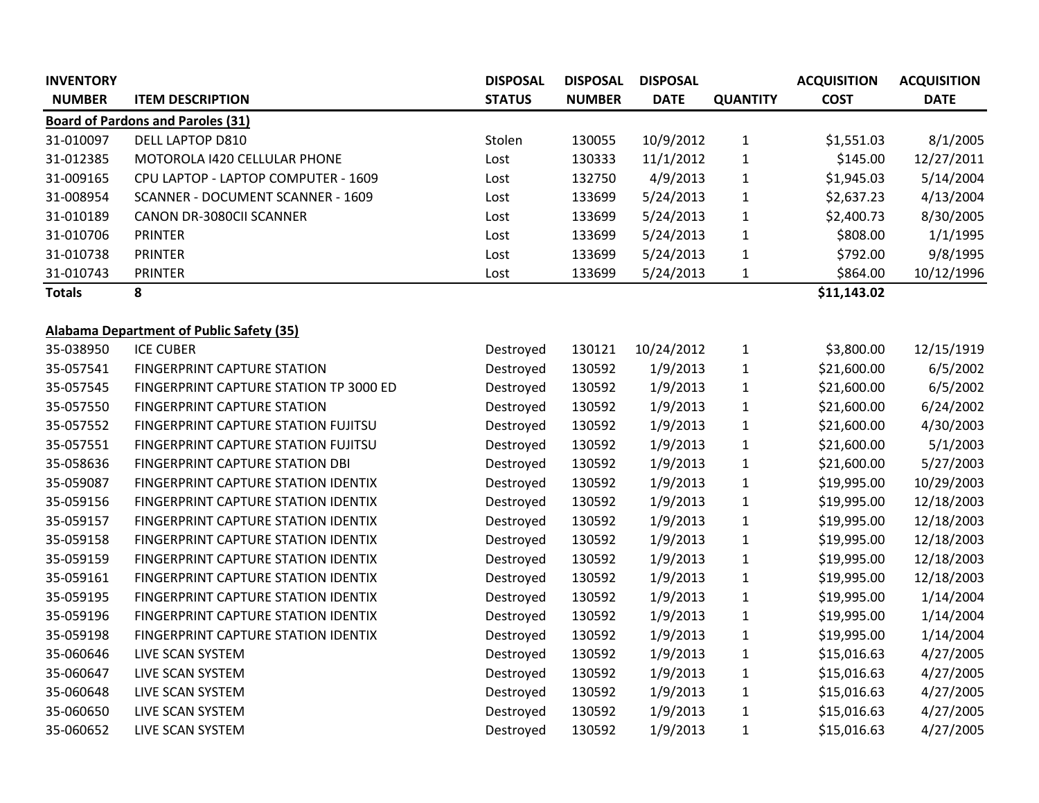| <b>INVENTORY</b> |                                                 | <b>DISPOSAL</b> | <b>DISPOSAL</b> | <b>DISPOSAL</b> |                 | <b>ACQUISITION</b> | <b>ACQUISITION</b> |
|------------------|-------------------------------------------------|-----------------|-----------------|-----------------|-----------------|--------------------|--------------------|
| <b>NUMBER</b>    | <b>ITEM DESCRIPTION</b>                         | <b>STATUS</b>   | <b>NUMBER</b>   | <b>DATE</b>     | <b>QUANTITY</b> | <b>COST</b>        | <b>DATE</b>        |
|                  | <b>Board of Pardons and Paroles (31)</b>        |                 |                 |                 |                 |                    |                    |
| 31-010097        | DELL LAPTOP D810                                | Stolen          | 130055          | 10/9/2012       | $\mathbf 1$     | \$1,551.03         | 8/1/2005           |
| 31-012385        | MOTOROLA 1420 CELLULAR PHONE                    | Lost            | 130333          | 11/1/2012       | $\mathbf 1$     | \$145.00           | 12/27/2011         |
| 31-009165        | CPU LAPTOP - LAPTOP COMPUTER - 1609             | Lost            | 132750          | 4/9/2013        | $\mathbf{1}$    | \$1,945.03         | 5/14/2004          |
| 31-008954        | <b>SCANNER - DOCUMENT SCANNER - 1609</b>        | Lost            | 133699          | 5/24/2013       | $\mathbf 1$     | \$2,637.23         | 4/13/2004          |
| 31-010189        | CANON DR-3080CII SCANNER                        | Lost            | 133699          | 5/24/2013       | $\mathbf{1}$    | \$2,400.73         | 8/30/2005          |
| 31-010706        | <b>PRINTER</b>                                  | Lost            | 133699          | 5/24/2013       | $\mathbf 1$     | \$808.00           | 1/1/1995           |
| 31-010738        | <b>PRINTER</b>                                  | Lost            | 133699          | 5/24/2013       | $\mathbf 1$     | \$792.00           | 9/8/1995           |
| 31-010743        | <b>PRINTER</b>                                  | Lost            | 133699          | 5/24/2013       | 1               | \$864.00           | 10/12/1996         |
| <b>Totals</b>    | 8                                               |                 |                 |                 |                 | \$11,143.02        |                    |
|                  |                                                 |                 |                 |                 |                 |                    |                    |
|                  | <b>Alabama Department of Public Safety (35)</b> |                 |                 |                 |                 |                    |                    |
| 35-038950        | <b>ICE CUBER</b>                                | Destroyed       | 130121          | 10/24/2012      | $\mathbf{1}$    | \$3,800.00         | 12/15/1919         |
| 35-057541        | <b>FINGERPRINT CAPTURE STATION</b>              | Destroyed       | 130592          | 1/9/2013        | $\mathbf 1$     | \$21,600.00        | 6/5/2002           |
| 35-057545        | FINGERPRINT CAPTURE STATION TP 3000 ED          | Destroyed       | 130592          | 1/9/2013        | $\mathbf 1$     | \$21,600.00        | 6/5/2002           |
| 35-057550        | <b>FINGERPRINT CAPTURE STATION</b>              | Destroyed       | 130592          | 1/9/2013        | $\mathbf 1$     | \$21,600.00        | 6/24/2002          |
| 35-057552        | FINGERPRINT CAPTURE STATION FUJITSU             | Destroyed       | 130592          | 1/9/2013        | $\mathbf{1}$    | \$21,600.00        | 4/30/2003          |
| 35-057551        | FINGERPRINT CAPTURE STATION FUJITSU             | Destroyed       | 130592          | 1/9/2013        | $\mathbf{1}$    | \$21,600.00        | 5/1/2003           |
| 35-058636        | <b>FINGERPRINT CAPTURE STATION DBI</b>          | Destroyed       | 130592          | 1/9/2013        | $\mathbf{1}$    | \$21,600.00        | 5/27/2003          |
| 35-059087        | FINGERPRINT CAPTURE STATION IDENTIX             | Destroyed       | 130592          | 1/9/2013        | $\mathbf 1$     | \$19,995.00        | 10/29/2003         |
| 35-059156        | FINGERPRINT CAPTURE STATION IDENTIX             | Destroyed       | 130592          | 1/9/2013        | $\mathbf{1}$    | \$19,995.00        | 12/18/2003         |
| 35-059157        | FINGERPRINT CAPTURE STATION IDENTIX             | Destroyed       | 130592          | 1/9/2013        | $\mathbf 1$     | \$19,995.00        | 12/18/2003         |
| 35-059158        | FINGERPRINT CAPTURE STATION IDENTIX             | Destroyed       | 130592          | 1/9/2013        | $\mathbf 1$     | \$19,995.00        | 12/18/2003         |
| 35-059159        | FINGERPRINT CAPTURE STATION IDENTIX             | Destroyed       | 130592          | 1/9/2013        | $\mathbf 1$     | \$19,995.00        | 12/18/2003         |
| 35-059161        | FINGERPRINT CAPTURE STATION IDENTIX             | Destroyed       | 130592          | 1/9/2013        | $\mathbf 1$     | \$19,995.00        | 12/18/2003         |
| 35-059195        | FINGERPRINT CAPTURE STATION IDENTIX             | Destroyed       | 130592          | 1/9/2013        | $\mathbf 1$     | \$19,995.00        | 1/14/2004          |
| 35-059196        | FINGERPRINT CAPTURE STATION IDENTIX             | Destroyed       | 130592          | 1/9/2013        | $\mathbf{1}$    | \$19,995.00        | 1/14/2004          |
| 35-059198        | FINGERPRINT CAPTURE STATION IDENTIX             | Destroyed       | 130592          | 1/9/2013        | $\mathbf 1$     | \$19,995.00        | 1/14/2004          |
| 35-060646        | LIVE SCAN SYSTEM                                | Destroyed       | 130592          | 1/9/2013        | $\mathbf 1$     | \$15,016.63        | 4/27/2005          |
| 35-060647        | LIVE SCAN SYSTEM                                | Destroyed       | 130592          | 1/9/2013        | $\mathbf{1}$    | \$15,016.63        | 4/27/2005          |
| 35-060648        | LIVE SCAN SYSTEM                                | Destroyed       | 130592          | 1/9/2013        | $\mathbf 1$     | \$15,016.63        | 4/27/2005          |
| 35-060650        | LIVE SCAN SYSTEM                                | Destroyed       | 130592          | 1/9/2013        | $\mathbf{1}$    | \$15,016.63        | 4/27/2005          |
| 35-060652        | LIVE SCAN SYSTEM                                | Destroyed       | 130592          | 1/9/2013        | $\mathbf{1}$    | \$15,016.63        | 4/27/2005          |
|                  |                                                 |                 |                 |                 |                 |                    |                    |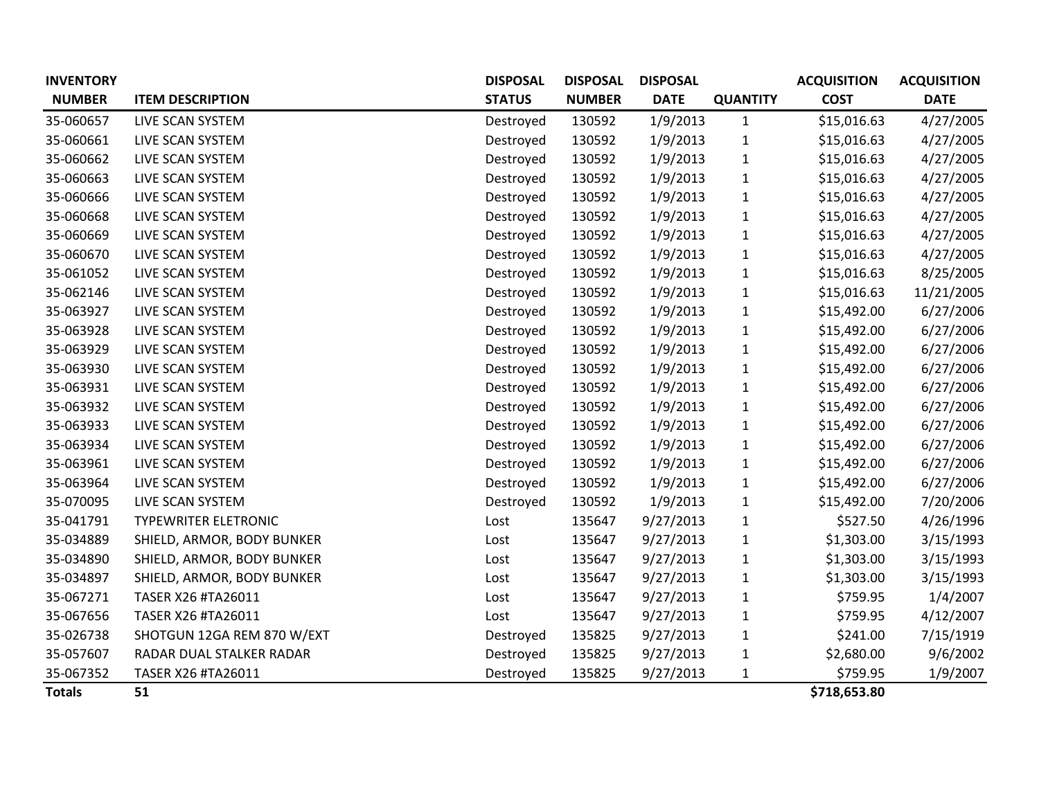| <b>INVENTORY</b> |                             | <b>DISPOSAL</b> | <b>DISPOSAL</b> | <b>DISPOSAL</b> |                 | <b>ACQUISITION</b> | <b>ACQUISITION</b> |
|------------------|-----------------------------|-----------------|-----------------|-----------------|-----------------|--------------------|--------------------|
| <b>NUMBER</b>    | <b>ITEM DESCRIPTION</b>     | <b>STATUS</b>   | <b>NUMBER</b>   | <b>DATE</b>     | <b>QUANTITY</b> | <b>COST</b>        | <b>DATE</b>        |
| 35-060657        | LIVE SCAN SYSTEM            | Destroyed       | 130592          | 1/9/2013        | $\mathbf{1}$    | \$15,016.63        | 4/27/2005          |
| 35-060661        | LIVE SCAN SYSTEM            | Destroyed       | 130592          | 1/9/2013        | $\mathbf 1$     | \$15,016.63        | 4/27/2005          |
| 35-060662        | LIVE SCAN SYSTEM            | Destroyed       | 130592          | 1/9/2013        | $\mathbf{1}$    | \$15,016.63        | 4/27/2005          |
| 35-060663        | LIVE SCAN SYSTEM            | Destroyed       | 130592          | 1/9/2013        | 1               | \$15,016.63        | 4/27/2005          |
| 35-060666        | LIVE SCAN SYSTEM            | Destroyed       | 130592          | 1/9/2013        | $\mathbf{1}$    | \$15,016.63        | 4/27/2005          |
| 35-060668        | LIVE SCAN SYSTEM            | Destroyed       | 130592          | 1/9/2013        | 1               | \$15,016.63        | 4/27/2005          |
| 35-060669        | LIVE SCAN SYSTEM            | Destroyed       | 130592          | 1/9/2013        | $\mathbf{1}$    | \$15,016.63        | 4/27/2005          |
| 35-060670        | LIVE SCAN SYSTEM            | Destroyed       | 130592          | 1/9/2013        | 1               | \$15,016.63        | 4/27/2005          |
| 35-061052        | LIVE SCAN SYSTEM            | Destroyed       | 130592          | 1/9/2013        | $\mathbf{1}$    | \$15,016.63        | 8/25/2005          |
| 35-062146        | LIVE SCAN SYSTEM            | Destroyed       | 130592          | 1/9/2013        | $\mathbf{1}$    | \$15,016.63        | 11/21/2005         |
| 35-063927        | LIVE SCAN SYSTEM            | Destroyed       | 130592          | 1/9/2013        | 1               | \$15,492.00        | 6/27/2006          |
| 35-063928        | LIVE SCAN SYSTEM            | Destroyed       | 130592          | 1/9/2013        | 1               | \$15,492.00        | 6/27/2006          |
| 35-063929        | LIVE SCAN SYSTEM            | Destroyed       | 130592          | 1/9/2013        | $\mathbf{1}$    | \$15,492.00        | 6/27/2006          |
| 35-063930        | LIVE SCAN SYSTEM            | Destroyed       | 130592          | 1/9/2013        | $\mathbf{1}$    | \$15,492.00        | 6/27/2006          |
| 35-063931        | LIVE SCAN SYSTEM            | Destroyed       | 130592          | 1/9/2013        | 1               | \$15,492.00        | 6/27/2006          |
| 35-063932        | LIVE SCAN SYSTEM            | Destroyed       | 130592          | 1/9/2013        | $\mathbf{1}$    | \$15,492.00        | 6/27/2006          |
| 35-063933        | LIVE SCAN SYSTEM            | Destroyed       | 130592          | 1/9/2013        | $\mathbf{1}$    | \$15,492.00        | 6/27/2006          |
| 35-063934        | LIVE SCAN SYSTEM            | Destroyed       | 130592          | 1/9/2013        | $\mathbf 1$     | \$15,492.00        | 6/27/2006          |
| 35-063961        | LIVE SCAN SYSTEM            | Destroyed       | 130592          | 1/9/2013        | 1               | \$15,492.00        | 6/27/2006          |
| 35-063964        | LIVE SCAN SYSTEM            | Destroyed       | 130592          | 1/9/2013        | $\mathbf{1}$    | \$15,492.00        | 6/27/2006          |
| 35-070095        | LIVE SCAN SYSTEM            | Destroyed       | 130592          | 1/9/2013        | $\mathbf{1}$    | \$15,492.00        | 7/20/2006          |
| 35-041791        | <b>TYPEWRITER ELETRONIC</b> | Lost            | 135647          | 9/27/2013       | 1               | \$527.50           | 4/26/1996          |
| 35-034889        | SHIELD, ARMOR, BODY BUNKER  | Lost            | 135647          | 9/27/2013       | 1               | \$1,303.00         | 3/15/1993          |
| 35-034890        | SHIELD, ARMOR, BODY BUNKER  | Lost            | 135647          | 9/27/2013       | $\mathbf 1$     | \$1,303.00         | 3/15/1993          |
| 35-034897        | SHIELD, ARMOR, BODY BUNKER  | Lost            | 135647          | 9/27/2013       | $\mathbf{1}$    | \$1,303.00         | 3/15/1993          |
| 35-067271        | TASER X26 #TA26011          | Lost            | 135647          | 9/27/2013       | 1               | \$759.95           | 1/4/2007           |
| 35-067656        | TASER X26 #TA26011          | Lost            | 135647          | 9/27/2013       | $\mathbf{1}$    | \$759.95           | 4/12/2007          |
| 35-026738        | SHOTGUN 12GA REM 870 W/EXT  | Destroyed       | 135825          | 9/27/2013       | 1               | \$241.00           | 7/15/1919          |
| 35-057607        | RADAR DUAL STALKER RADAR    | Destroyed       | 135825          | 9/27/2013       | 1               | \$2,680.00         | 9/6/2002           |
| 35-067352        | TASER X26 #TA26011          | Destroyed       | 135825          | 9/27/2013       | 1               | \$759.95           | 1/9/2007           |
| <b>Totals</b>    | 51                          |                 |                 |                 |                 | \$718,653.80       |                    |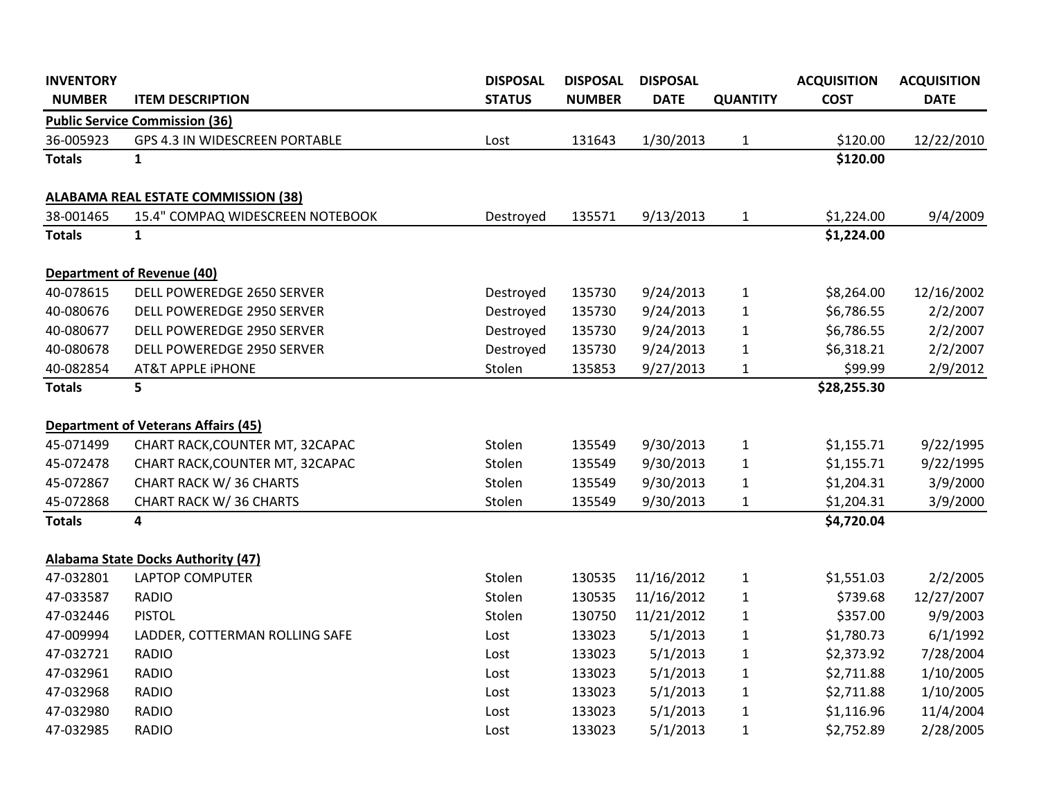| <b>INVENTORY</b> |                                            | <b>DISPOSAL</b> | <b>DISPOSAL</b> | <b>DISPOSAL</b> |                 | <b>ACQUISITION</b> | <b>ACQUISITION</b> |
|------------------|--------------------------------------------|-----------------|-----------------|-----------------|-----------------|--------------------|--------------------|
| <b>NUMBER</b>    | <b>ITEM DESCRIPTION</b>                    | <b>STATUS</b>   | <b>NUMBER</b>   | <b>DATE</b>     | <b>QUANTITY</b> | <b>COST</b>        | <b>DATE</b>        |
|                  | <b>Public Service Commission (36)</b>      |                 |                 |                 |                 |                    |                    |
| 36-005923        | GPS 4.3 IN WIDESCREEN PORTABLE             | Lost            | 131643          | 1/30/2013       | $\mathbf{1}$    | \$120.00           | 12/22/2010         |
| <b>Totals</b>    | $\mathbf{1}$                               |                 |                 |                 |                 | \$120.00           |                    |
|                  | <b>ALABAMA REAL ESTATE COMMISSION (38)</b> |                 |                 |                 |                 |                    |                    |
| 38-001465        | 15.4" COMPAQ WIDESCREEN NOTEBOOK           | Destroyed       | 135571          | 9/13/2013       | $\mathbf 1$     | \$1,224.00         | 9/4/2009           |
| <b>Totals</b>    | $\mathbf{1}$                               |                 |                 |                 |                 | \$1,224.00         |                    |
|                  | <b>Department of Revenue (40)</b>          |                 |                 |                 |                 |                    |                    |
| 40-078615        | DELL POWEREDGE 2650 SERVER                 | Destroyed       | 135730          | 9/24/2013       | $\mathbf 1$     | \$8,264.00         | 12/16/2002         |
| 40-080676        | DELL POWEREDGE 2950 SERVER                 | Destroyed       | 135730          | 9/24/2013       | $\mathbf{1}$    | \$6,786.55         | 2/2/2007           |
| 40-080677        | DELL POWEREDGE 2950 SERVER                 | Destroyed       | 135730          | 9/24/2013       | $\mathbf 1$     | \$6,786.55         | 2/2/2007           |
| 40-080678        | <b>DELL POWEREDGE 2950 SERVER</b>          | Destroyed       | 135730          | 9/24/2013       | $\mathbf{1}$    | \$6,318.21         | 2/2/2007           |
| 40-082854        | <b>AT&amp;T APPLE IPHONE</b>               | Stolen          | 135853          | 9/27/2013       | $\mathbf{1}$    | \$99.99            | 2/9/2012           |
| <b>Totals</b>    | 5                                          |                 |                 |                 |                 | \$28,255.30        |                    |
|                  | <b>Department of Veterans Affairs (45)</b> |                 |                 |                 |                 |                    |                    |
| 45-071499        | CHART RACK, COUNTER MT, 32CAPAC            | Stolen          | 135549          | 9/30/2013       | $\mathbf 1$     | \$1,155.71         | 9/22/1995          |
| 45-072478        | CHART RACK, COUNTER MT, 32CAPAC            | Stolen          | 135549          | 9/30/2013       | $\mathbf{1}$    | \$1,155.71         | 9/22/1995          |
| 45-072867        | CHART RACK W/36 CHARTS                     | Stolen          | 135549          | 9/30/2013       | $\mathbf{1}$    | \$1,204.31         | 3/9/2000           |
| 45-072868        | CHART RACK W/36 CHARTS                     | Stolen          | 135549          | 9/30/2013       | $\mathbf{1}$    | \$1,204.31         | 3/9/2000           |
| <b>Totals</b>    | 4                                          |                 |                 |                 |                 | \$4,720.04         |                    |
|                  | <b>Alabama State Docks Authority (47)</b>  |                 |                 |                 |                 |                    |                    |
| 47-032801        | <b>LAPTOP COMPUTER</b>                     | Stolen          | 130535          | 11/16/2012      | $\mathbf 1$     | \$1,551.03         | 2/2/2005           |
| 47-033587        | <b>RADIO</b>                               | Stolen          | 130535          | 11/16/2012      | $\mathbf 1$     | \$739.68           | 12/27/2007         |
| 47-032446        | <b>PISTOL</b>                              | Stolen          | 130750          | 11/21/2012      | $\mathbf 1$     | \$357.00           | 9/9/2003           |
| 47-009994        | LADDER, COTTERMAN ROLLING SAFE             | Lost            | 133023          | 5/1/2013        | $\mathbf 1$     | \$1,780.73         | 6/1/1992           |
| 47-032721        | <b>RADIO</b>                               | Lost            | 133023          | 5/1/2013        | $\mathbf 1$     | \$2,373.92         | 7/28/2004          |
| 47-032961        | <b>RADIO</b>                               | Lost            | 133023          | 5/1/2013        | $\mathbf{1}$    | \$2,711.88         | 1/10/2005          |
| 47-032968        | <b>RADIO</b>                               | Lost            | 133023          | 5/1/2013        | $\mathbf{1}$    | \$2,711.88         | 1/10/2005          |
| 47-032980        | <b>RADIO</b>                               | Lost            | 133023          | 5/1/2013        | $\mathbf{1}$    | \$1,116.96         | 11/4/2004          |
| 47-032985        | <b>RADIO</b>                               | Lost            | 133023          | 5/1/2013        | $\mathbf{1}$    | \$2,752.89         | 2/28/2005          |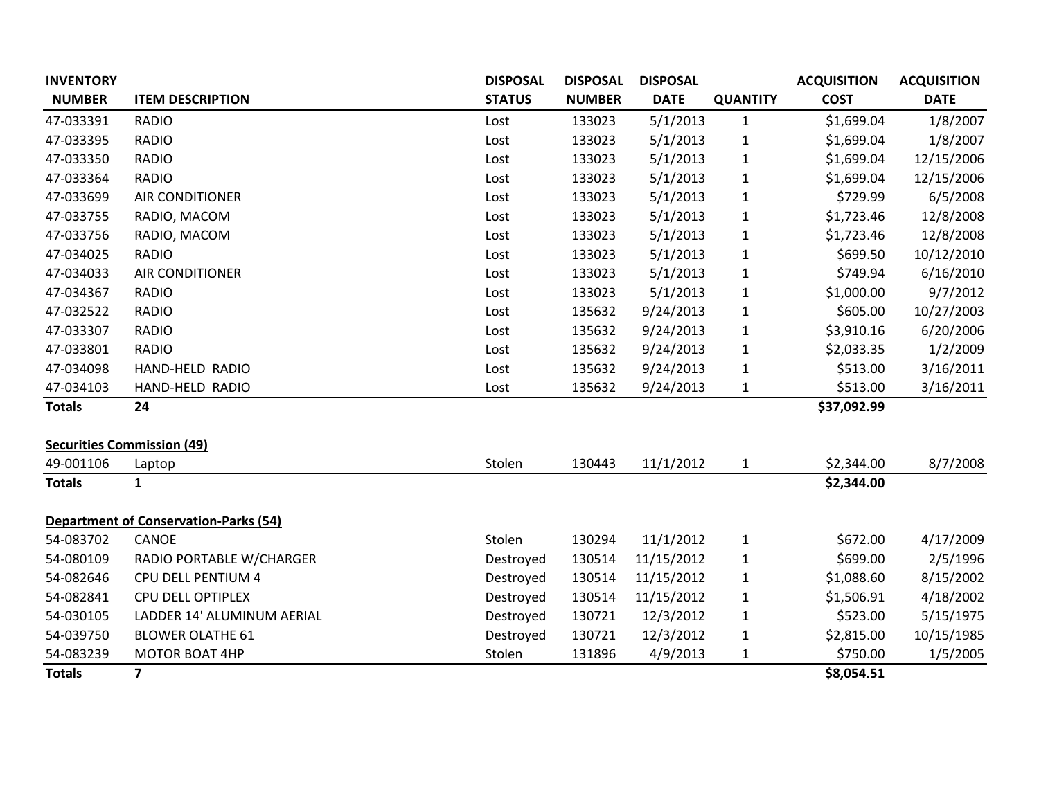| <b>INVENTORY</b> |                                              | <b>DISPOSAL</b> | <b>DISPOSAL</b> | <b>DISPOSAL</b> |                 | <b>ACQUISITION</b> | <b>ACQUISITION</b> |
|------------------|----------------------------------------------|-----------------|-----------------|-----------------|-----------------|--------------------|--------------------|
| <b>NUMBER</b>    | <b>ITEM DESCRIPTION</b>                      | <b>STATUS</b>   | <b>NUMBER</b>   | <b>DATE</b>     | <b>QUANTITY</b> | <b>COST</b>        | <b>DATE</b>        |
| 47-033391        | <b>RADIO</b>                                 | Lost            | 133023          | 5/1/2013        | $\mathbf{1}$    | \$1,699.04         | 1/8/2007           |
| 47-033395        | <b>RADIO</b>                                 | Lost            | 133023          | 5/1/2013        | 1               | \$1,699.04         | 1/8/2007           |
| 47-033350        | <b>RADIO</b>                                 | Lost            | 133023          | 5/1/2013        | 1               | \$1,699.04         | 12/15/2006         |
| 47-033364        | <b>RADIO</b>                                 | Lost            | 133023          | 5/1/2013        | 1               | \$1,699.04         | 12/15/2006         |
| 47-033699        | <b>AIR CONDITIONER</b>                       | Lost            | 133023          | 5/1/2013        | 1               | \$729.99           | 6/5/2008           |
| 47-033755        | RADIO, MACOM                                 | Lost            | 133023          | 5/1/2013        | 1               | \$1,723.46         | 12/8/2008          |
| 47-033756        | RADIO, MACOM                                 | Lost            | 133023          | 5/1/2013        | 1               | \$1,723.46         | 12/8/2008          |
| 47-034025        | <b>RADIO</b>                                 | Lost            | 133023          | 5/1/2013        | 1               | \$699.50           | 10/12/2010         |
| 47-034033        | <b>AIR CONDITIONER</b>                       | Lost            | 133023          | 5/1/2013        | 1               | \$749.94           | 6/16/2010          |
| 47-034367        | <b>RADIO</b>                                 | Lost            | 133023          | 5/1/2013        | 1               | \$1,000.00         | 9/7/2012           |
| 47-032522        | <b>RADIO</b>                                 | Lost            | 135632          | 9/24/2013       | 1               | \$605.00           | 10/27/2003         |
| 47-033307        | <b>RADIO</b>                                 | Lost            | 135632          | 9/24/2013       | 1               | \$3,910.16         | 6/20/2006          |
| 47-033801        | <b>RADIO</b>                                 | Lost            | 135632          | 9/24/2013       | 1               | \$2,033.35         | 1/2/2009           |
| 47-034098        | HAND-HELD RADIO                              | Lost            | 135632          | 9/24/2013       | 1               | \$513.00           | 3/16/2011          |
| 47-034103        | HAND-HELD RADIO                              | Lost            | 135632          | 9/24/2013       | 1               | \$513.00           | 3/16/2011          |
| <b>Totals</b>    | 24                                           |                 |                 |                 |                 | \$37,092.99        |                    |
|                  |                                              |                 |                 |                 |                 |                    |                    |
|                  | <b>Securities Commission (49)</b>            |                 |                 |                 |                 |                    |                    |
| 49-001106        | Laptop                                       | Stolen          | 130443          | 11/1/2012       | $\mathbf{1}$    | \$2,344.00         | 8/7/2008           |
| <b>Totals</b>    | $\mathbf{1}$                                 |                 |                 |                 |                 | \$2,344.00         |                    |
|                  | <b>Department of Conservation-Parks (54)</b> |                 |                 |                 |                 |                    |                    |
| 54-083702        | CANOE                                        | Stolen          | 130294          | 11/1/2012       | $\mathbf{1}$    | \$672.00           | 4/17/2009          |
| 54-080109        | RADIO PORTABLE W/CHARGER                     | Destroyed       | 130514          | 11/15/2012      | 1               | \$699.00           | 2/5/1996           |
| 54-082646        | CPU DELL PENTIUM 4                           | Destroyed       | 130514          | 11/15/2012      | 1               | \$1,088.60         | 8/15/2002          |
| 54-082841        | <b>CPU DELL OPTIPLEX</b>                     | Destroyed       | 130514          | 11/15/2012      | 1               | \$1,506.91         | 4/18/2002          |
| 54-030105        | LADDER 14' ALUMINUM AERIAL                   | Destroyed       | 130721          | 12/3/2012       | 1               | \$523.00           | 5/15/1975          |
| 54-039750        | <b>BLOWER OLATHE 61</b>                      | Destroyed       | 130721          | 12/3/2012       | 1               | \$2,815.00         | 10/15/1985         |
| 54-083239        | <b>MOTOR BOAT 4HP</b>                        | Stolen          | 131896          | 4/9/2013        | 1               | \$750.00           | 1/5/2005           |
| <b>Totals</b>    | $\overline{\mathbf{z}}$                      |                 |                 |                 |                 | \$8,054.51         |                    |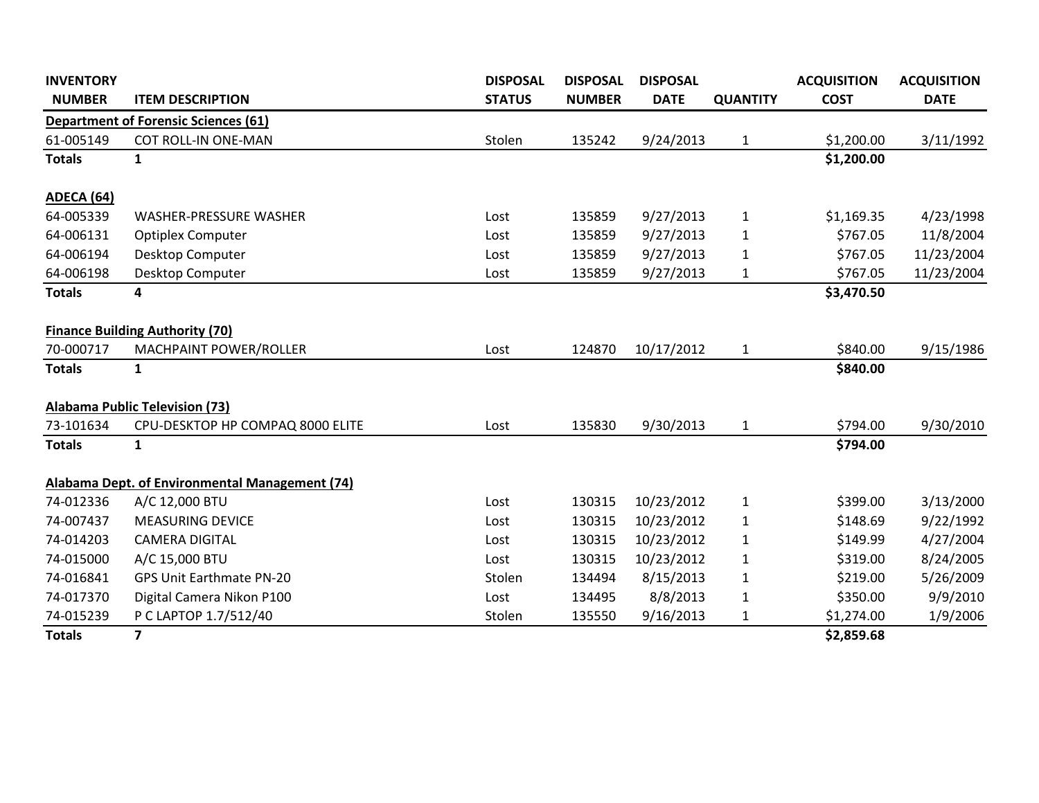| <b>INVENTORY</b>  |                                                | <b>DISPOSAL</b> | <b>DISPOSAL</b> | <b>DISPOSAL</b> |                 | <b>ACQUISITION</b> | <b>ACQUISITION</b> |
|-------------------|------------------------------------------------|-----------------|-----------------|-----------------|-----------------|--------------------|--------------------|
| <b>NUMBER</b>     | <b>ITEM DESCRIPTION</b>                        | <b>STATUS</b>   | <b>NUMBER</b>   | <b>DATE</b>     | <b>QUANTITY</b> | <b>COST</b>        | <b>DATE</b>        |
|                   | <b>Department of Forensic Sciences (61)</b>    |                 |                 |                 |                 |                    |                    |
| 61-005149         | <b>COT ROLL-IN ONE-MAN</b>                     | Stolen          | 135242          | 9/24/2013       | $\mathbf 1$     | \$1,200.00         | 3/11/1992          |
| <b>Totals</b>     | $\mathbf{1}$                                   |                 |                 |                 |                 | \$1,200.00         |                    |
| <b>ADECA (64)</b> |                                                |                 |                 |                 |                 |                    |                    |
| 64-005339         | <b>WASHER-PRESSURE WASHER</b>                  | Lost            | 135859          | 9/27/2013       | $\mathbf 1$     | \$1,169.35         | 4/23/1998          |
| 64-006131         | <b>Optiplex Computer</b>                       | Lost            | 135859          | 9/27/2013       | $\mathbf{1}$    | \$767.05           | 11/8/2004          |
| 64-006194         | Desktop Computer                               | Lost            | 135859          | 9/27/2013       | $\mathbf 1$     | \$767.05           | 11/23/2004         |
| 64-006198         | Desktop Computer                               | Lost            | 135859          | 9/27/2013       | $\mathbf{1}$    | \$767.05           | 11/23/2004         |
| <b>Totals</b>     | $\overline{\mathbf{4}}$                        |                 |                 |                 |                 | \$3,470.50         |                    |
|                   | <b>Finance Building Authority (70)</b>         |                 |                 |                 |                 |                    |                    |
| 70-000717         | MACHPAINT POWER/ROLLER                         | Lost            | 124870          | 10/17/2012      | $\mathbf{1}$    | \$840.00           | 9/15/1986          |
| <b>Totals</b>     | $\mathbf{1}$                                   |                 |                 |                 |                 | \$840.00           |                    |
|                   | <b>Alabama Public Television (73)</b>          |                 |                 |                 |                 |                    |                    |
| 73-101634         | CPU-DESKTOP HP COMPAQ 8000 ELITE               | Lost            | 135830          | 9/30/2013       | $\mathbf{1}$    | \$794.00           | 9/30/2010          |
| <b>Totals</b>     | $\mathbf{1}$                                   |                 |                 |                 |                 | \$794.00           |                    |
|                   | Alabama Dept. of Environmental Management (74) |                 |                 |                 |                 |                    |                    |
| 74-012336         | A/C 12,000 BTU                                 | Lost            | 130315          | 10/23/2012      | $\mathbf 1$     | \$399.00           | 3/13/2000          |
| 74-007437         | <b>MEASURING DEVICE</b>                        | Lost            | 130315          | 10/23/2012      | $\mathbf{1}$    | \$148.69           | 9/22/1992          |
| 74-014203         | <b>CAMERA DIGITAL</b>                          | Lost            | 130315          | 10/23/2012      | $\mathbf{1}$    | \$149.99           | 4/27/2004          |
| 74-015000         | A/C 15,000 BTU                                 | Lost            | 130315          | 10/23/2012      | $\mathbf{1}$    | \$319.00           | 8/24/2005          |
| 74-016841         | <b>GPS Unit Earthmate PN-20</b>                | Stolen          | 134494          | 8/15/2013       | $\mathbf{1}$    | \$219.00           | 5/26/2009          |
| 74-017370         | Digital Camera Nikon P100                      | Lost            | 134495          | 8/8/2013        | $\mathbf{1}$    | \$350.00           | 9/9/2010           |
| 74-015239         | P C LAPTOP 1.7/512/40                          | Stolen          | 135550          | 9/16/2013       | 1               | \$1,274.00         | 1/9/2006           |
| <b>Totals</b>     | $\overline{\mathbf{z}}$                        |                 |                 |                 |                 | \$2,859.68         |                    |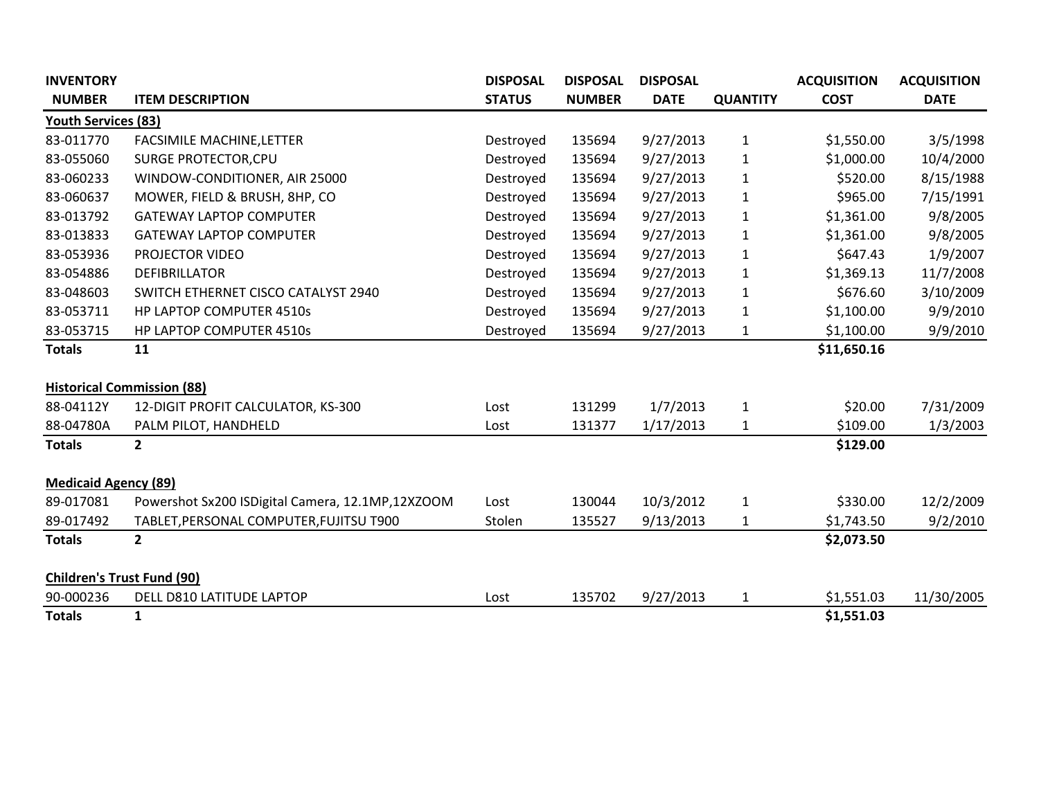| <b>INVENTORY</b>                  |                                                  | <b>DISPOSAL</b> | <b>DISPOSAL</b> | <b>DISPOSAL</b> |                 | <b>ACQUISITION</b> | <b>ACQUISITION</b> |
|-----------------------------------|--------------------------------------------------|-----------------|-----------------|-----------------|-----------------|--------------------|--------------------|
| <b>NUMBER</b>                     | <b>ITEM DESCRIPTION</b>                          | <b>STATUS</b>   | <b>NUMBER</b>   | <b>DATE</b>     | <b>QUANTITY</b> | <b>COST</b>        | <b>DATE</b>        |
| <b>Youth Services (83)</b>        |                                                  |                 |                 |                 |                 |                    |                    |
| 83-011770                         | FACSIMILE MACHINE, LETTER                        | Destroyed       | 135694          | 9/27/2013       | $\mathbf{1}$    | \$1,550.00         | 3/5/1998           |
| 83-055060                         | <b>SURGE PROTECTOR, CPU</b>                      | Destroyed       | 135694          | 9/27/2013       | 1               | \$1,000.00         | 10/4/2000          |
| 83-060233                         | WINDOW-CONDITIONER, AIR 25000                    | Destroyed       | 135694          | 9/27/2013       | $\mathbf{1}$    | \$520.00           | 8/15/1988          |
| 83-060637                         | MOWER, FIELD & BRUSH, 8HP, CO                    | Destroyed       | 135694          | 9/27/2013       | $\mathbf{1}$    | \$965.00           | 7/15/1991          |
| 83-013792                         | <b>GATEWAY LAPTOP COMPUTER</b>                   | Destroyed       | 135694          | 9/27/2013       | 1               | \$1,361.00         | 9/8/2005           |
| 83-013833                         | <b>GATEWAY LAPTOP COMPUTER</b>                   | Destroyed       | 135694          | 9/27/2013       | 1               | \$1,361.00         | 9/8/2005           |
| 83-053936                         | PROJECTOR VIDEO                                  | Destroyed       | 135694          | 9/27/2013       | 1               | \$647.43           | 1/9/2007           |
| 83-054886                         | <b>DEFIBRILLATOR</b>                             | Destroyed       | 135694          | 9/27/2013       | 1               | \$1,369.13         | 11/7/2008          |
| 83-048603                         | SWITCH ETHERNET CISCO CATALYST 2940              | Destroyed       | 135694          | 9/27/2013       | $\mathbf 1$     | \$676.60           | 3/10/2009          |
| 83-053711                         | HP LAPTOP COMPUTER 4510s                         | Destroyed       | 135694          | 9/27/2013       | 1               | \$1,100.00         | 9/9/2010           |
| 83-053715                         | HP LAPTOP COMPUTER 4510s                         | Destroyed       | 135694          | 9/27/2013       | 1               | \$1,100.00         | 9/9/2010           |
| <b>Totals</b>                     | 11                                               |                 |                 |                 |                 | \$11,650.16        |                    |
|                                   |                                                  |                 |                 |                 |                 |                    |                    |
|                                   | <b>Historical Commission (88)</b>                |                 |                 |                 |                 |                    |                    |
| 88-04112Y                         | 12-DIGIT PROFIT CALCULATOR, KS-300               | Lost            | 131299          | 1/7/2013        | $\mathbf{1}$    | \$20.00            | 7/31/2009          |
| 88-04780A                         | PALM PILOT, HANDHELD                             | Lost            | 131377          | 1/17/2013       | $\mathbf{1}$    | \$109.00           | 1/3/2003           |
| <b>Totals</b>                     | $\overline{2}$                                   |                 |                 |                 |                 | \$129.00           |                    |
|                                   |                                                  |                 |                 |                 |                 |                    |                    |
| <b>Medicaid Agency (89)</b>       |                                                  |                 |                 |                 |                 |                    |                    |
| 89-017081                         | Powershot Sx200 ISDigital Camera, 12.1MP,12XZOOM | Lost            | 130044          | 10/3/2012       | $\mathbf{1}$    | \$330.00           | 12/2/2009          |
| 89-017492                         | TABLET, PERSONAL COMPUTER, FUJITSU T900          | Stolen          | 135527          | 9/13/2013       | $\mathbf{1}$    | \$1,743.50         | 9/2/2010           |
| <b>Totals</b>                     | $\mathbf{2}$                                     |                 |                 |                 |                 | \$2,073.50         |                    |
|                                   |                                                  |                 |                 |                 |                 |                    |                    |
| <b>Children's Trust Fund (90)</b> |                                                  |                 |                 |                 |                 |                    |                    |
| 90-000236                         | DELL D810 LATITUDE LAPTOP                        | Lost            | 135702          | 9/27/2013       | $\mathbf{1}$    | \$1,551.03         | 11/30/2005         |
| <b>Totals</b>                     | $\mathbf{1}$                                     |                 |                 |                 |                 | \$1,551.03         |                    |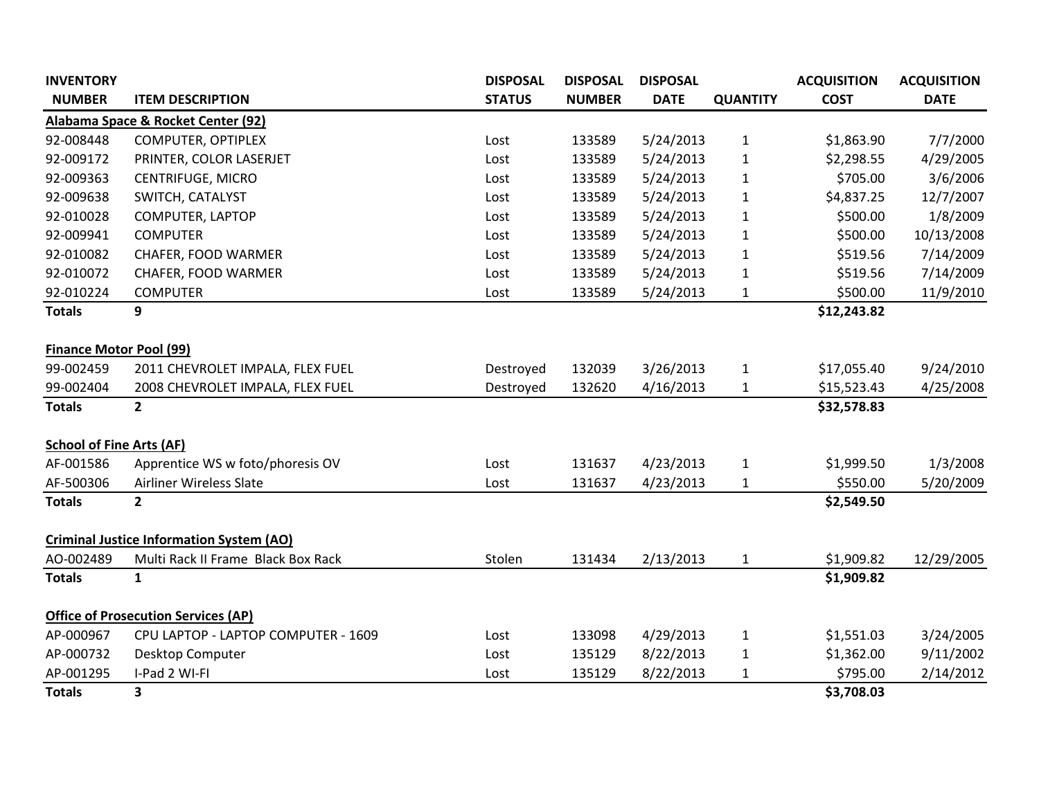| <b>INVENTORY</b>                |                                                 | <b>DISPOSAL</b> | <b>DISPOSAL</b> | <b>DISPOSAL</b> |                 | <b>ACQUISITION</b> | <b>ACQUISITION</b> |
|---------------------------------|-------------------------------------------------|-----------------|-----------------|-----------------|-----------------|--------------------|--------------------|
| <b>NUMBER</b>                   | <b>ITEM DESCRIPTION</b>                         | <b>STATUS</b>   | <b>NUMBER</b>   | <b>DATE</b>     | <b>QUANTITY</b> | <b>COST</b>        | <b>DATE</b>        |
|                                 | Alabama Space & Rocket Center (92)              |                 |                 |                 |                 |                    |                    |
| 92-008448                       | COMPUTER, OPTIPLEX                              | Lost            | 133589          | 5/24/2013       | $\mathbf{1}$    | \$1,863.90         | 7/7/2000           |
| 92-009172                       | PRINTER, COLOR LASERJET                         | Lost            | 133589          | 5/24/2013       | $\mathbf{1}$    | \$2,298.55         | 4/29/2005          |
| 92-009363                       | CENTRIFUGE, MICRO                               | Lost            | 133589          | 5/24/2013       | 1               | \$705.00           | 3/6/2006           |
| 92-009638                       | SWITCH, CATALYST                                | Lost            | 133589          | 5/24/2013       | $\mathbf 1$     | \$4,837.25         | 12/7/2007          |
| 92-010028                       | COMPUTER, LAPTOP                                | Lost            | 133589          | 5/24/2013       | $\mathbf 1$     | \$500.00           | 1/8/2009           |
| 92-009941                       | <b>COMPUTER</b>                                 | Lost            | 133589          | 5/24/2013       | $\mathbf 1$     | \$500.00           | 10/13/2008         |
| 92-010082                       | CHAFER, FOOD WARMER                             | Lost            | 133589          | 5/24/2013       | 1               | \$519.56           | 7/14/2009          |
| 92-010072                       | CHAFER, FOOD WARMER                             | Lost            | 133589          | 5/24/2013       | $\mathbf{1}$    | \$519.56           | 7/14/2009          |
| 92-010224                       | <b>COMPUTER</b>                                 | Lost            | 133589          | 5/24/2013       | $\mathbf{1}$    | \$500.00           | 11/9/2010          |
| <b>Totals</b>                   | 9                                               |                 |                 |                 |                 | \$12,243.82        |                    |
|                                 |                                                 |                 |                 |                 |                 |                    |                    |
| <b>Finance Motor Pool (99)</b>  |                                                 |                 |                 |                 |                 |                    |                    |
| 99-002459                       | 2011 CHEVROLET IMPALA, FLEX FUEL                | Destroyed       | 132039          | 3/26/2013       | $\mathbf{1}$    | \$17,055.40        | 9/24/2010          |
| 99-002404                       | 2008 CHEVROLET IMPALA, FLEX FUEL                | Destroyed       | 132620          | 4/16/2013       | $\mathbf{1}$    | \$15,523.43        | 4/25/2008          |
| <b>Totals</b>                   | $\overline{\mathbf{2}}$                         |                 |                 |                 |                 | \$32,578.83        |                    |
|                                 |                                                 |                 |                 |                 |                 |                    |                    |
| <b>School of Fine Arts (AF)</b> |                                                 |                 |                 |                 |                 |                    |                    |
| AF-001586                       | Apprentice WS w foto/phoresis OV                | Lost            | 131637          | 4/23/2013       | $\mathbf 1$     | \$1,999.50         | 1/3/2008           |
| AF-500306                       | Airliner Wireless Slate                         | Lost            | 131637          | 4/23/2013       | $\mathbf{1}$    | \$550.00           | 5/20/2009          |
| <b>Totals</b>                   | $\overline{2}$                                  |                 |                 |                 |                 | \$2,549.50         |                    |
|                                 |                                                 |                 |                 |                 |                 |                    |                    |
|                                 | <b>Criminal Justice Information System (AO)</b> |                 |                 |                 |                 |                    |                    |
| AO-002489                       | Multi Rack II Frame Black Box Rack              | Stolen          | 131434          | 2/13/2013       | $\mathbf{1}$    | \$1,909.82         | 12/29/2005         |
| <b>Totals</b>                   | $\mathbf{1}$                                    |                 |                 |                 |                 | \$1,909.82         |                    |
|                                 |                                                 |                 |                 |                 |                 |                    |                    |
|                                 | <b>Office of Prosecution Services (AP)</b>      |                 |                 |                 |                 |                    |                    |
| AP-000967                       | CPU LAPTOP - LAPTOP COMPUTER - 1609             | Lost            | 133098          | 4/29/2013       | $\mathbf{1}$    | \$1,551.03         | 3/24/2005          |
| AP-000732                       | Desktop Computer                                | Lost            | 135129          | 8/22/2013       | $\mathbf{1}$    | \$1,362.00         | 9/11/2002          |
| AP-001295                       | I-Pad 2 WI-FI                                   | Lost            | 135129          | 8/22/2013       | $\mathbf 1$     | \$795.00           | 2/14/2012          |
| <b>Totals</b>                   | 3                                               |                 |                 |                 |                 | \$3,708.03         |                    |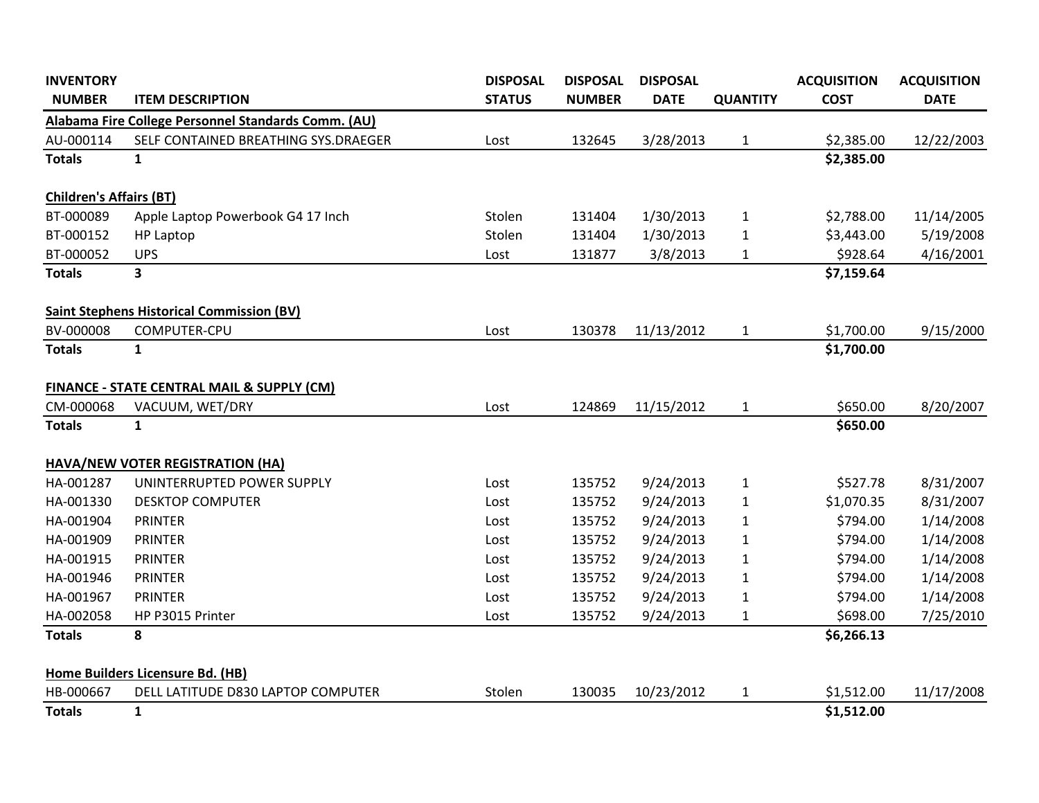| <b>INVENTORY</b>               |                                                     | <b>DISPOSAL</b> | <b>DISPOSAL</b> | <b>DISPOSAL</b> |                 | <b>ACQUISITION</b> | <b>ACQUISITION</b> |
|--------------------------------|-----------------------------------------------------|-----------------|-----------------|-----------------|-----------------|--------------------|--------------------|
| <b>NUMBER</b>                  | <b>ITEM DESCRIPTION</b>                             | <b>STATUS</b>   | <b>NUMBER</b>   | <b>DATE</b>     | <b>QUANTITY</b> | <b>COST</b>        | <b>DATE</b>        |
|                                | Alabama Fire College Personnel Standards Comm. (AU) |                 |                 |                 |                 |                    |                    |
| AU-000114                      | SELF CONTAINED BREATHING SYS.DRAEGER                | Lost            | 132645          | 3/28/2013       | $\mathbf{1}$    | \$2,385.00         | 12/22/2003         |
| <b>Totals</b>                  | $\mathbf{1}$                                        |                 |                 |                 |                 | \$2,385.00         |                    |
| <b>Children's Affairs (BT)</b> |                                                     |                 |                 |                 |                 |                    |                    |
| BT-000089                      | Apple Laptop Powerbook G4 17 Inch                   | Stolen          | 131404          | 1/30/2013       | $\mathbf{1}$    | \$2,788.00         | 11/14/2005         |
| BT-000152                      | HP Laptop                                           | Stolen          | 131404          | 1/30/2013       | $\mathbf{1}$    | \$3,443.00         | 5/19/2008          |
| BT-000052                      | <b>UPS</b>                                          | Lost            | 131877          | 3/8/2013        | $\mathbf{1}$    | \$928.64           | 4/16/2001          |
| <b>Totals</b>                  | $\overline{\mathbf{3}}$                             |                 |                 |                 |                 | \$7,159.64         |                    |
|                                | <b>Saint Stephens Historical Commission (BV)</b>    |                 |                 |                 |                 |                    |                    |
| BV-000008                      | COMPUTER-CPU                                        | Lost            | 130378          | 11/13/2012      | $\mathbf{1}$    | \$1,700.00         | 9/15/2000          |
| <b>Totals</b>                  | $\mathbf{1}$                                        |                 |                 |                 |                 | \$1,700.00         |                    |
|                                | FINANCE - STATE CENTRAL MAIL & SUPPLY (CM)          |                 |                 |                 |                 |                    |                    |
| CM-000068                      | VACUUM, WET/DRY                                     | Lost            | 124869          | 11/15/2012      | $\mathbf{1}$    | \$650.00           | 8/20/2007          |
| <b>Totals</b>                  | $\mathbf{1}$                                        |                 |                 |                 |                 | \$650.00           |                    |
|                                | HAVA/NEW VOTER REGISTRATION (HA)                    |                 |                 |                 |                 |                    |                    |
| HA-001287                      | UNINTERRUPTED POWER SUPPLY                          | Lost            | 135752          | 9/24/2013       | $\mathbf{1}$    | \$527.78           | 8/31/2007          |
| HA-001330                      | <b>DESKTOP COMPUTER</b>                             | Lost            | 135752          | 9/24/2013       | $\mathbf{1}$    | \$1,070.35         | 8/31/2007          |
| HA-001904                      | <b>PRINTER</b>                                      | Lost            | 135752          | 9/24/2013       | $\mathbf{1}$    | \$794.00           | 1/14/2008          |
| HA-001909                      | <b>PRINTER</b>                                      | Lost            | 135752          | 9/24/2013       | $\mathbf{1}$    | \$794.00           | 1/14/2008          |
| HA-001915                      | <b>PRINTER</b>                                      | Lost            | 135752          | 9/24/2013       | $\mathbf{1}$    | \$794.00           | 1/14/2008          |
| HA-001946                      | <b>PRINTER</b>                                      | Lost            | 135752          | 9/24/2013       | $\mathbf{1}$    | \$794.00           | 1/14/2008          |
| HA-001967                      | <b>PRINTER</b>                                      | Lost            | 135752          | 9/24/2013       | $\mathbf{1}$    | \$794.00           | 1/14/2008          |
| HA-002058                      | HP P3015 Printer                                    | Lost            | 135752          | 9/24/2013       | $\mathbf{1}$    | \$698.00           | 7/25/2010          |
| <b>Totals</b>                  | 8                                                   |                 |                 |                 |                 | \$6,266.13         |                    |
|                                | Home Builders Licensure Bd. (HB)                    |                 |                 |                 |                 |                    |                    |
| HB-000667                      | DELL LATITUDE D830 LAPTOP COMPUTER                  | Stolen          | 130035          | 10/23/2012      | $\mathbf{1}$    | \$1,512.00         | 11/17/2008         |
| <b>Totals</b>                  | $\mathbf{1}$                                        |                 |                 |                 |                 | \$1,512.00         |                    |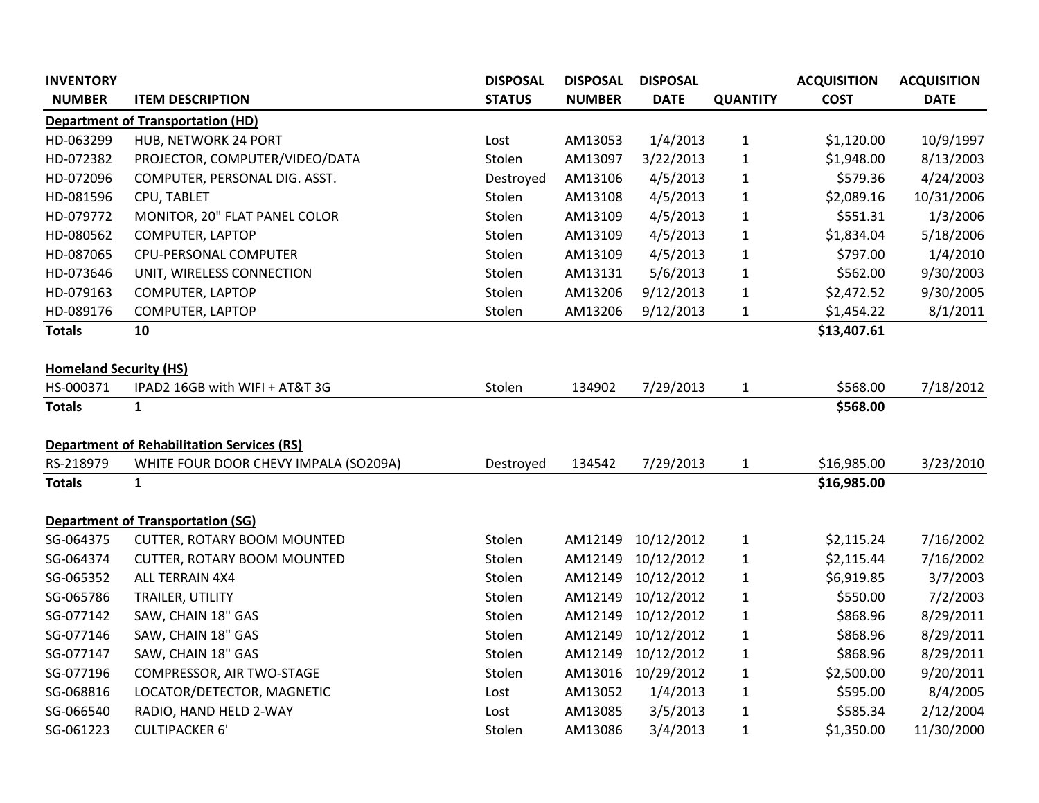| <b>INVENTORY</b>              |                                                   | <b>DISPOSAL</b> | <b>DISPOSAL</b> | <b>DISPOSAL</b> |                 | <b>ACQUISITION</b> | <b>ACQUISITION</b> |
|-------------------------------|---------------------------------------------------|-----------------|-----------------|-----------------|-----------------|--------------------|--------------------|
| <b>NUMBER</b>                 | <b>ITEM DESCRIPTION</b>                           | <b>STATUS</b>   | <b>NUMBER</b>   | <b>DATE</b>     | <b>QUANTITY</b> | <b>COST</b>        | <b>DATE</b>        |
|                               | <b>Department of Transportation (HD)</b>          |                 |                 |                 |                 |                    |                    |
| HD-063299                     | HUB, NETWORK 24 PORT                              | Lost            | AM13053         | 1/4/2013        | 1               | \$1,120.00         | 10/9/1997          |
| HD-072382                     | PROJECTOR, COMPUTER/VIDEO/DATA                    | Stolen          | AM13097         | 3/22/2013       | $\mathbf 1$     | \$1,948.00         | 8/13/2003          |
| HD-072096                     | COMPUTER, PERSONAL DIG. ASST.                     | Destroyed       | AM13106         | 4/5/2013        | 1               | \$579.36           | 4/24/2003          |
| HD-081596                     | CPU, TABLET                                       | Stolen          | AM13108         | 4/5/2013        | 1               | \$2,089.16         | 10/31/2006         |
| HD-079772                     | MONITOR, 20" FLAT PANEL COLOR                     | Stolen          | AM13109         | 4/5/2013        | 1               | \$551.31           | 1/3/2006           |
| HD-080562                     | COMPUTER, LAPTOP                                  | Stolen          | AM13109         | 4/5/2013        | $\mathbf 1$     | \$1,834.04         | 5/18/2006          |
| HD-087065                     | CPU-PERSONAL COMPUTER                             | Stolen          | AM13109         | 4/5/2013        | 1               | \$797.00           | 1/4/2010           |
| HD-073646                     | UNIT, WIRELESS CONNECTION                         | Stolen          | AM13131         | 5/6/2013        | 1               | \$562.00           | 9/30/2003          |
| HD-079163                     | COMPUTER, LAPTOP                                  | Stolen          | AM13206         | 9/12/2013       | 1               | \$2,472.52         | 9/30/2005          |
| HD-089176                     | COMPUTER, LAPTOP                                  | Stolen          | AM13206         | 9/12/2013       | 1               | \$1,454.22         | 8/1/2011           |
| <b>Totals</b>                 | 10                                                |                 |                 |                 |                 | \$13,407.61        |                    |
|                               |                                                   |                 |                 |                 |                 |                    |                    |
| <b>Homeland Security (HS)</b> |                                                   |                 |                 |                 |                 |                    |                    |
| HS-000371                     | IPAD2 16GB with WIFI + AT&T 3G                    | Stolen          | 134902          | 7/29/2013       | $\mathbf{1}$    | \$568.00           | 7/18/2012          |
| <b>Totals</b>                 | $\mathbf{1}$                                      |                 |                 |                 |                 | \$568.00           |                    |
|                               |                                                   |                 |                 |                 |                 |                    |                    |
|                               | <b>Department of Rehabilitation Services (RS)</b> |                 |                 |                 |                 |                    |                    |
| RS-218979                     | WHITE FOUR DOOR CHEVY IMPALA (SO209A)             | Destroyed       | 134542          | 7/29/2013       | $\mathbf{1}$    | \$16,985.00        | 3/23/2010          |
| <b>Totals</b>                 | $\mathbf{1}$                                      |                 |                 |                 |                 | \$16,985.00        |                    |
|                               |                                                   |                 |                 |                 |                 |                    |                    |
|                               | <b>Department of Transportation (SG)</b>          |                 |                 |                 |                 |                    |                    |
| SG-064375                     | CUTTER, ROTARY BOOM MOUNTED                       | Stolen          | AM12149         | 10/12/2012      | $\mathbf{1}$    | \$2,115.24         | 7/16/2002          |
| SG-064374                     | <b>CUTTER, ROTARY BOOM MOUNTED</b>                | Stolen          | AM12149         | 10/12/2012      | 1               | \$2,115.44         | 7/16/2002          |
| SG-065352                     | ALL TERRAIN 4X4                                   | Stolen          | AM12149         | 10/12/2012      | $\mathbf{1}$    | \$6,919.85         | 3/7/2003           |
| SG-065786                     | TRAILER, UTILITY                                  | Stolen          | AM12149         | 10/12/2012      | 1               | \$550.00           | 7/2/2003           |
| SG-077142                     | SAW, CHAIN 18" GAS                                | Stolen          | AM12149         | 10/12/2012      | $\mathbf{1}$    | \$868.96           | 8/29/2011          |
| SG-077146                     | SAW, CHAIN 18" GAS                                | Stolen          | AM12149         | 10/12/2012      | $\mathbf{1}$    | \$868.96           | 8/29/2011          |
| SG-077147                     | SAW, CHAIN 18" GAS                                | Stolen          | AM12149         | 10/12/2012      | $\mathbf{1}$    | \$868.96           | 8/29/2011          |
| SG-077196                     | COMPRESSOR, AIR TWO-STAGE                         | Stolen          | AM13016         | 10/29/2012      | 1               | \$2,500.00         | 9/20/2011          |
| SG-068816                     | LOCATOR/DETECTOR, MAGNETIC                        | Lost            | AM13052         | 1/4/2013        | $\mathbf{1}$    | \$595.00           | 8/4/2005           |
| SG-066540                     | RADIO, HAND HELD 2-WAY                            | Lost            | AM13085         | 3/5/2013        | 1               | \$585.34           | 2/12/2004          |
| SG-061223                     | <b>CULTIPACKER 6'</b>                             | Stolen          | AM13086         | 3/4/2013        | $\mathbf{1}$    | \$1,350.00         | 11/30/2000         |